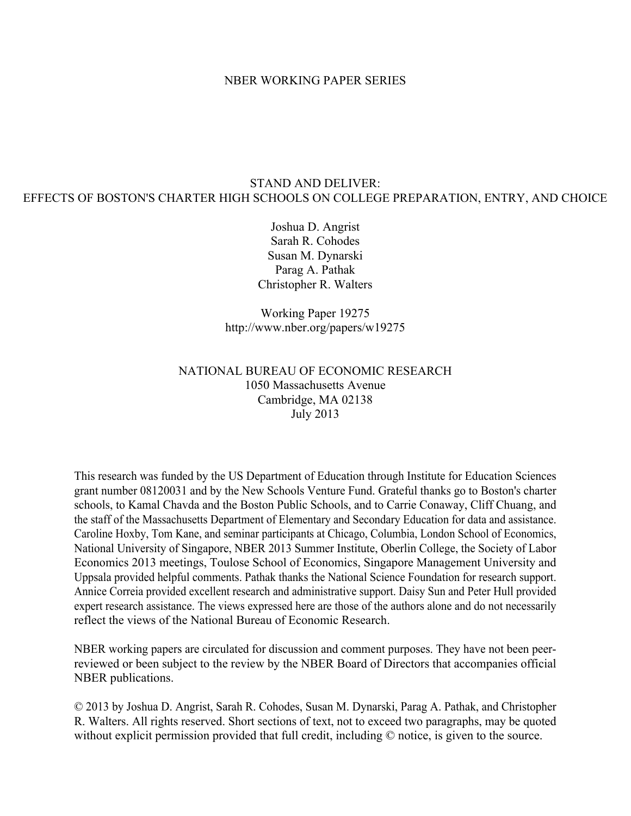## NBER WORKING PAPER SERIES

# STAND AND DELIVER: EFFECTS OF BOSTON'S CHARTER HIGH SCHOOLS ON COLLEGE PREPARATION, ENTRY, AND CHOICE

Joshua D. Angrist Sarah R. Cohodes Susan M. Dynarski Parag A. Pathak Christopher R. Walters

Working Paper 19275 http://www.nber.org/papers/w19275

# NATIONAL BUREAU OF ECONOMIC RESEARCH 1050 Massachusetts Avenue Cambridge, MA 02138 July 2013

This research was funded by the US Department of Education through Institute for Education Sciences grant number 08120031 and by the New Schools Venture Fund. Grateful thanks go to Boston's charter schools, to Kamal Chavda and the Boston Public Schools, and to Carrie Conaway, Cliff Chuang, and the staff of the Massachusetts Department of Elementary and Secondary Education for data and assistance. Caroline Hoxby, Tom Kane, and seminar participants at Chicago, Columbia, London School of Economics, National University of Singapore, NBER 2013 Summer Institute, Oberlin College, the Society of Labor Economics 2013 meetings, Toulose School of Economics, Singapore Management University and Uppsala provided helpful comments. Pathak thanks the National Science Foundation for research support. Annice Correia provided excellent research and administrative support. Daisy Sun and Peter Hull provided expert research assistance. The views expressed here are those of the authors alone and do not necessarily reflect the views of the National Bureau of Economic Research.

NBER working papers are circulated for discussion and comment purposes. They have not been peerreviewed or been subject to the review by the NBER Board of Directors that accompanies official NBER publications.

© 2013 by Joshua D. Angrist, Sarah R. Cohodes, Susan M. Dynarski, Parag A. Pathak, and Christopher R. Walters. All rights reserved. Short sections of text, not to exceed two paragraphs, may be quoted without explicit permission provided that full credit, including  $\heartsuit$  notice, is given to the source.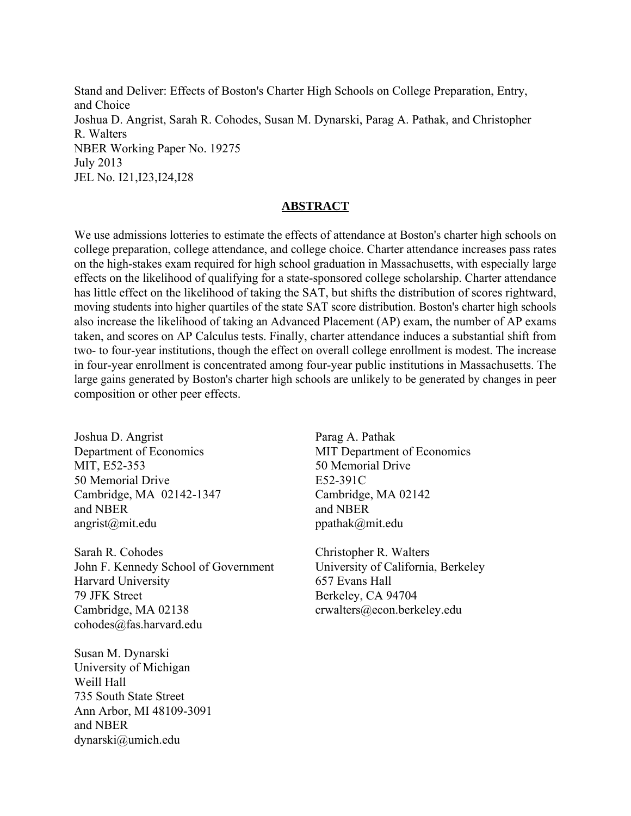Stand and Deliver: Effects of Boston's Charter High Schools on College Preparation, Entry, and Choice Joshua D. Angrist, Sarah R. Cohodes, Susan M. Dynarski, Parag A. Pathak, and Christopher R. Walters NBER Working Paper No. 19275 July 2013 JEL No. I21,I23,I24,I28

## **ABSTRACT**

We use admissions lotteries to estimate the effects of attendance at Boston's charter high schools on college preparation, college attendance, and college choice. Charter attendance increases pass rates on the high-stakes exam required for high school graduation in Massachusetts, with especially large effects on the likelihood of qualifying for a state-sponsored college scholarship. Charter attendance has little effect on the likelihood of taking the SAT, but shifts the distribution of scores rightward, moving students into higher quartiles of the state SAT score distribution. Boston's charter high schools also increase the likelihood of taking an Advanced Placement (AP) exam, the number of AP exams taken, and scores on AP Calculus tests. Finally, charter attendance induces a substantial shift from two- to four-year institutions, though the effect on overall college enrollment is modest. The increase in four-year enrollment is concentrated among four-year public institutions in Massachusetts. The large gains generated by Boston's charter high schools are unlikely to be generated by changes in peer composition or other peer effects.

Joshua D. Angrist Department of Economics MIT, E52-353 50 Memorial Drive Cambridge, MA 02142-1347 and NBER angrist@mit.edu

Sarah R. Cohodes John F. Kennedy School of Government Harvard University 79 JFK Street Cambridge, MA 02138 cohodes@fas.harvard.edu

Susan M. Dynarski University of Michigan Weill Hall 735 South State Street Ann Arbor, MI 48109-3091 and NBER dynarski@umich.edu

Parag A. Pathak MIT Department of Economics 50 Memorial Drive E52-391C Cambridge, MA 02142 and NBER ppathak@mit.edu

Christopher R. Walters University of California, Berkeley 657 Evans Hall Berkeley, CA 94704 crwalters@econ.berkeley.edu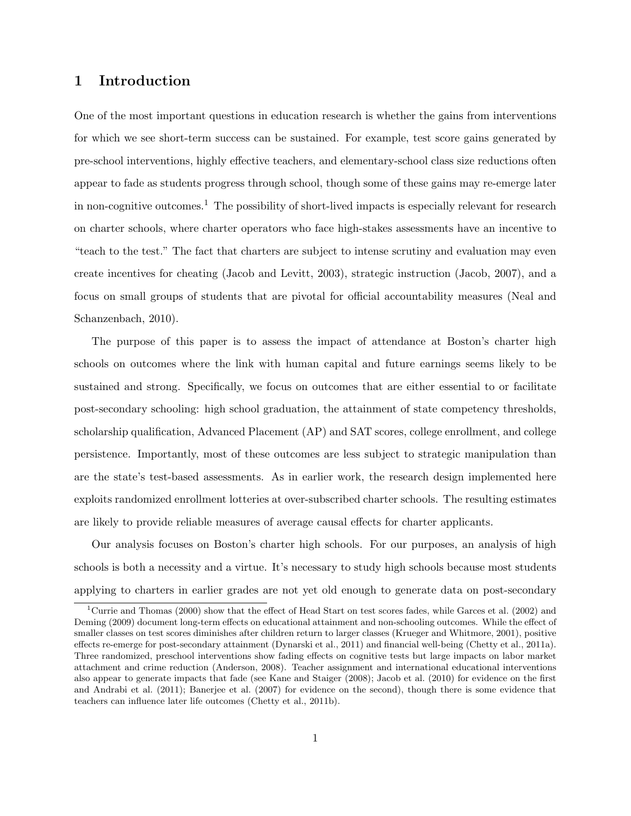# 1 Introduction

One of the most important questions in education research is whether the gains from interventions for which we see short-term success can be sustained. For example, test score gains generated by pre-school interventions, highly effective teachers, and elementary-school class size reductions often appear to fade as students progress through school, though some of these gains may re-emerge later in non-cognitive outcomes.<sup>1</sup> The possibility of short-lived impacts is especially relevant for research on charter schools, where charter operators who face high-stakes assessments have an incentive to "teach to the test." The fact that charters are subject to intense scrutiny and evaluation may even create incentives for cheating (Jacob and Levitt, 2003), strategic instruction (Jacob, 2007), and a focus on small groups of students that are pivotal for official accountability measures (Neal and Schanzenbach, 2010).

The purpose of this paper is to assess the impact of attendance at Boston's charter high schools on outcomes where the link with human capital and future earnings seems likely to be sustained and strong. Specifically, we focus on outcomes that are either essential to or facilitate post-secondary schooling: high school graduation, the attainment of state competency thresholds, scholarship qualification, Advanced Placement (AP) and SAT scores, college enrollment, and college persistence. Importantly, most of these outcomes are less subject to strategic manipulation than are the state's test-based assessments. As in earlier work, the research design implemented here exploits randomized enrollment lotteries at over-subscribed charter schools. The resulting estimates are likely to provide reliable measures of average causal effects for charter applicants.

Our analysis focuses on Boston's charter high schools. For our purposes, an analysis of high schools is both a necessity and a virtue. It's necessary to study high schools because most students applying to charters in earlier grades are not yet old enough to generate data on post-secondary

<sup>&</sup>lt;sup>1</sup>Currie and Thomas (2000) show that the effect of Head Start on test scores fades, while Garces et al. (2002) and Deming (2009) document long-term effects on educational attainment and non-schooling outcomes. While the effect of smaller classes on test scores diminishes after children return to larger classes (Krueger and Whitmore, 2001), positive effects re-emerge for post-secondary attainment (Dynarski et al., 2011) and financial well-being (Chetty et al., 2011a). Three randomized, preschool interventions show fading effects on cognitive tests but large impacts on labor market attachment and crime reduction (Anderson, 2008). Teacher assignment and international educational interventions also appear to generate impacts that fade (see Kane and Staiger (2008); Jacob et al. (2010) for evidence on the first and Andrabi et al. (2011); Banerjee et al. (2007) for evidence on the second), though there is some evidence that teachers can influence later life outcomes (Chetty et al., 2011b).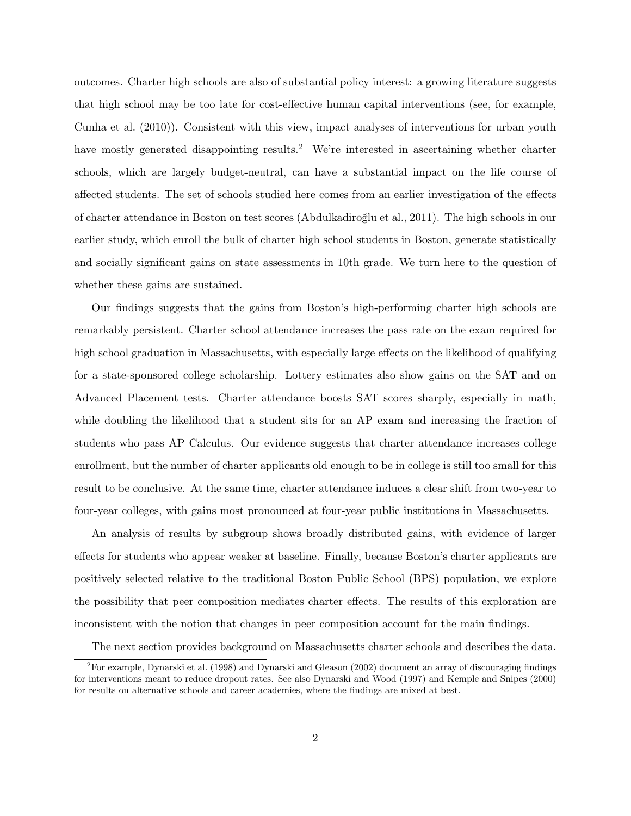outcomes. Charter high schools are also of substantial policy interest: a growing literature suggests that high school may be too late for cost-effective human capital interventions (see, for example, Cunha et al. (2010)). Consistent with this view, impact analyses of interventions for urban youth have mostly generated disappointing results.<sup>2</sup> We're interested in ascertaining whether charter schools, which are largely budget-neutral, can have a substantial impact on the life course of affected students. The set of schools studied here comes from an earlier investigation of the effects of charter attendance in Boston on test scores (Abdulkadiro˘glu et al., 2011). The high schools in our earlier study, which enroll the bulk of charter high school students in Boston, generate statistically and socially significant gains on state assessments in 10th grade. We turn here to the question of whether these gains are sustained.

Our findings suggests that the gains from Boston's high-performing charter high schools are remarkably persistent. Charter school attendance increases the pass rate on the exam required for high school graduation in Massachusetts, with especially large effects on the likelihood of qualifying for a state-sponsored college scholarship. Lottery estimates also show gains on the SAT and on Advanced Placement tests. Charter attendance boosts SAT scores sharply, especially in math, while doubling the likelihood that a student sits for an AP exam and increasing the fraction of students who pass AP Calculus. Our evidence suggests that charter attendance increases college enrollment, but the number of charter applicants old enough to be in college is still too small for this result to be conclusive. At the same time, charter attendance induces a clear shift from two-year to four-year colleges, with gains most pronounced at four-year public institutions in Massachusetts.

An analysis of results by subgroup shows broadly distributed gains, with evidence of larger effects for students who appear weaker at baseline. Finally, because Boston's charter applicants are positively selected relative to the traditional Boston Public School (BPS) population, we explore the possibility that peer composition mediates charter effects. The results of this exploration are inconsistent with the notion that changes in peer composition account for the main findings.

The next section provides background on Massachusetts charter schools and describes the data.

<sup>2</sup>For example, Dynarski et al. (1998) and Dynarski and Gleason (2002) document an array of discouraging findings for interventions meant to reduce dropout rates. See also Dynarski and Wood (1997) and Kemple and Snipes (2000) for results on alternative schools and career academies, where the findings are mixed at best.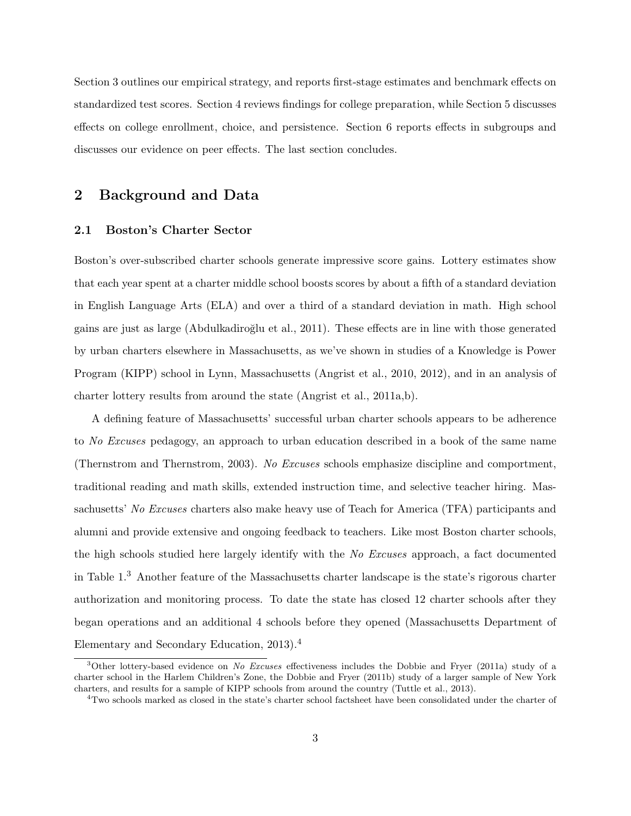Section 3 outlines our empirical strategy, and reports first-stage estimates and benchmark effects on standardized test scores. Section 4 reviews findings for college preparation, while Section 5 discusses effects on college enrollment, choice, and persistence. Section 6 reports effects in subgroups and discusses our evidence on peer effects. The last section concludes.

## 2 Background and Data

### 2.1 Boston's Charter Sector

Boston's over-subscribed charter schools generate impressive score gains. Lottery estimates show that each year spent at a charter middle school boosts scores by about a fifth of a standard deviation in English Language Arts (ELA) and over a third of a standard deviation in math. High school gains are just as large (Abdulkadiroğlu et al., 2011). These effects are in line with those generated by urban charters elsewhere in Massachusetts, as we've shown in studies of a Knowledge is Power Program (KIPP) school in Lynn, Massachusetts (Angrist et al., 2010, 2012), and in an analysis of charter lottery results from around the state (Angrist et al., 2011a,b).

A defining feature of Massachusetts' successful urban charter schools appears to be adherence to No Excuses pedagogy, an approach to urban education described in a book of the same name (Thernstrom and Thernstrom, 2003). No Excuses schools emphasize discipline and comportment, traditional reading and math skills, extended instruction time, and selective teacher hiring. Massachusetts' No Excuses charters also make heavy use of Teach for America (TFA) participants and alumni and provide extensive and ongoing feedback to teachers. Like most Boston charter schools, the high schools studied here largely identify with the No Excuses approach, a fact documented in Table 1.<sup>3</sup> Another feature of the Massachusetts charter landscape is the state's rigorous charter authorization and monitoring process. To date the state has closed 12 charter schools after they began operations and an additional 4 schools before they opened (Massachusetts Department of Elementary and Secondary Education, 2013).<sup>4</sup>

<sup>&</sup>lt;sup>3</sup>Other lottery-based evidence on No Excuses effectiveness includes the Dobbie and Fryer (2011a) study of a charter school in the Harlem Children's Zone, the Dobbie and Fryer (2011b) study of a larger sample of New York charters, and results for a sample of KIPP schools from around the country (Tuttle et al., 2013).

<sup>4</sup>Two schools marked as closed in the state's charter school factsheet have been consolidated under the charter of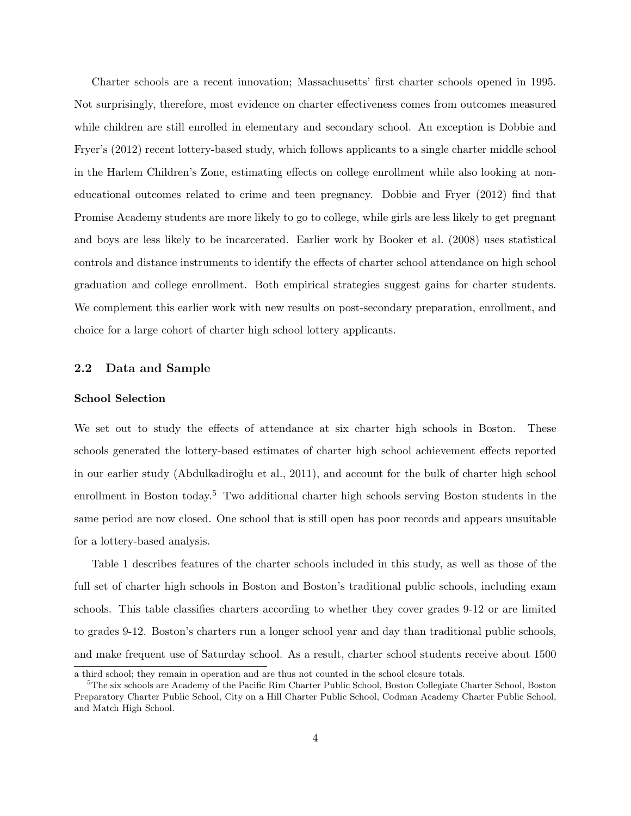Charter schools are a recent innovation; Massachusetts' first charter schools opened in 1995. Not surprisingly, therefore, most evidence on charter effectiveness comes from outcomes measured while children are still enrolled in elementary and secondary school. An exception is Dobbie and Fryer's (2012) recent lottery-based study, which follows applicants to a single charter middle school in the Harlem Children's Zone, estimating effects on college enrollment while also looking at noneducational outcomes related to crime and teen pregnancy. Dobbie and Fryer (2012) find that Promise Academy students are more likely to go to college, while girls are less likely to get pregnant and boys are less likely to be incarcerated. Earlier work by Booker et al. (2008) uses statistical controls and distance instruments to identify the effects of charter school attendance on high school graduation and college enrollment. Both empirical strategies suggest gains for charter students. We complement this earlier work with new results on post-secondary preparation, enrollment, and choice for a large cohort of charter high school lottery applicants.

### 2.2 Data and Sample

#### School Selection

We set out to study the effects of attendance at six charter high schools in Boston. These schools generated the lottery-based estimates of charter high school achievement effects reported in our earlier study (Abdulkadiroğlu et al., 2011), and account for the bulk of charter high school enrollment in Boston today.<sup>5</sup> Two additional charter high schools serving Boston students in the same period are now closed. One school that is still open has poor records and appears unsuitable for a lottery-based analysis.

Table 1 describes features of the charter schools included in this study, as well as those of the full set of charter high schools in Boston and Boston's traditional public schools, including exam schools. This table classifies charters according to whether they cover grades 9-12 or are limited to grades 9-12. Boston's charters run a longer school year and day than traditional public schools, and make frequent use of Saturday school. As a result, charter school students receive about 1500

a third school; they remain in operation and are thus not counted in the school closure totals.

<sup>&</sup>lt;sup>5</sup>The six schools are Academy of the Pacific Rim Charter Public School, Boston Collegiate Charter School, Boston Preparatory Charter Public School, City on a Hill Charter Public School, Codman Academy Charter Public School, and Match High School.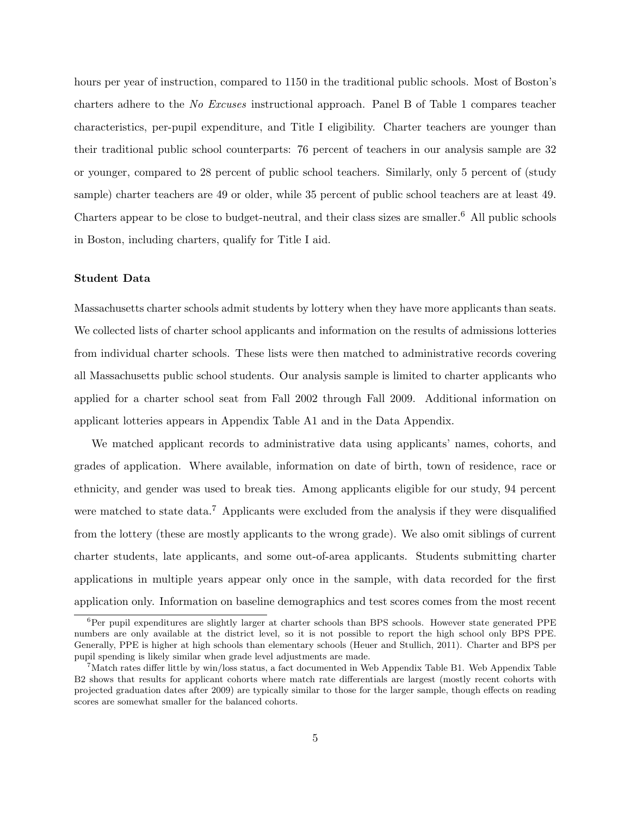hours per year of instruction, compared to 1150 in the traditional public schools. Most of Boston's charters adhere to the No Excuses instructional approach. Panel B of Table 1 compares teacher characteristics, per-pupil expenditure, and Title I eligibility. Charter teachers are younger than their traditional public school counterparts: 76 percent of teachers in our analysis sample are 32 or younger, compared to 28 percent of public school teachers. Similarly, only 5 percent of (study sample) charter teachers are 49 or older, while 35 percent of public school teachers are at least 49. Charters appear to be close to budget-neutral, and their class sizes are smaller.<sup>6</sup> All public schools in Boston, including charters, qualify for Title I aid.

### Student Data

Massachusetts charter schools admit students by lottery when they have more applicants than seats. We collected lists of charter school applicants and information on the results of admissions lotteries from individual charter schools. These lists were then matched to administrative records covering all Massachusetts public school students. Our analysis sample is limited to charter applicants who applied for a charter school seat from Fall 2002 through Fall 2009. Additional information on applicant lotteries appears in Appendix Table A1 and in the Data Appendix.

We matched applicant records to administrative data using applicants' names, cohorts, and grades of application. Where available, information on date of birth, town of residence, race or ethnicity, and gender was used to break ties. Among applicants eligible for our study, 94 percent were matched to state data.<sup>7</sup> Applicants were excluded from the analysis if they were disqualified from the lottery (these are mostly applicants to the wrong grade). We also omit siblings of current charter students, late applicants, and some out-of-area applicants. Students submitting charter applications in multiple years appear only once in the sample, with data recorded for the first application only. Information on baseline demographics and test scores comes from the most recent

 ${}^{6}$ Per pupil expenditures are slightly larger at charter schools than BPS schools. However state generated PPE numbers are only available at the district level, so it is not possible to report the high school only BPS PPE. Generally, PPE is higher at high schools than elementary schools (Heuer and Stullich, 2011). Charter and BPS per pupil spending is likely similar when grade level adjustments are made.

<sup>&</sup>lt;sup>7</sup>Match rates differ little by win/loss status, a fact documented in Web Appendix Table B1. Web Appendix Table B2 shows that results for applicant cohorts where match rate differentials are largest (mostly recent cohorts with projected graduation dates after 2009) are typically similar to those for the larger sample, though effects on reading scores are somewhat smaller for the balanced cohorts.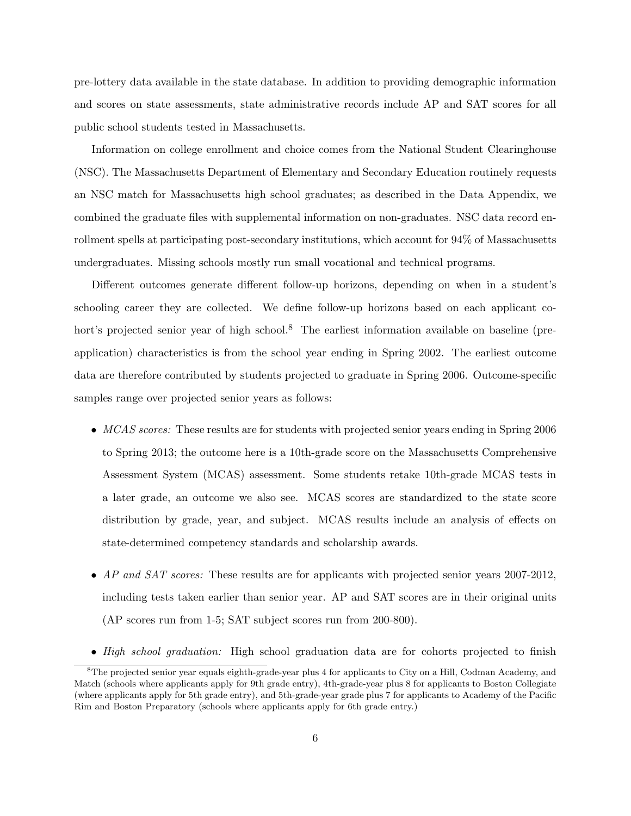pre-lottery data available in the state database. In addition to providing demographic information and scores on state assessments, state administrative records include AP and SAT scores for all public school students tested in Massachusetts.

Information on college enrollment and choice comes from the National Student Clearinghouse (NSC). The Massachusetts Department of Elementary and Secondary Education routinely requests an NSC match for Massachusetts high school graduates; as described in the Data Appendix, we combined the graduate files with supplemental information on non-graduates. NSC data record enrollment spells at participating post-secondary institutions, which account for 94% of Massachusetts undergraduates. Missing schools mostly run small vocational and technical programs.

Different outcomes generate different follow-up horizons, depending on when in a student's schooling career they are collected. We define follow-up horizons based on each applicant cohort's projected senior year of high school.<sup>8</sup> The earliest information available on baseline (preapplication) characteristics is from the school year ending in Spring 2002. The earliest outcome data are therefore contributed by students projected to graduate in Spring 2006. Outcome-specific samples range over projected senior years as follows:

- MCAS scores: These results are for students with projected senior years ending in Spring 2006 to Spring 2013; the outcome here is a 10th-grade score on the Massachusetts Comprehensive Assessment System (MCAS) assessment. Some students retake 10th-grade MCAS tests in a later grade, an outcome we also see. MCAS scores are standardized to the state score distribution by grade, year, and subject. MCAS results include an analysis of effects on state-determined competency standards and scholarship awards.
- AP and SAT scores: These results are for applicants with projected senior years 2007-2012, including tests taken earlier than senior year. AP and SAT scores are in their original units (AP scores run from 1-5; SAT subject scores run from 200-800).
- High school graduation: High school graduation data are for cohorts projected to finish

<sup>&</sup>lt;sup>8</sup>The projected senior year equals eighth-grade-year plus 4 for applicants to City on a Hill, Codman Academy, and Match (schools where applicants apply for 9th grade entry), 4th-grade-year plus 8 for applicants to Boston Collegiate (where applicants apply for 5th grade entry), and 5th-grade-year grade plus 7 for applicants to Academy of the Pacific Rim and Boston Preparatory (schools where applicants apply for 6th grade entry.)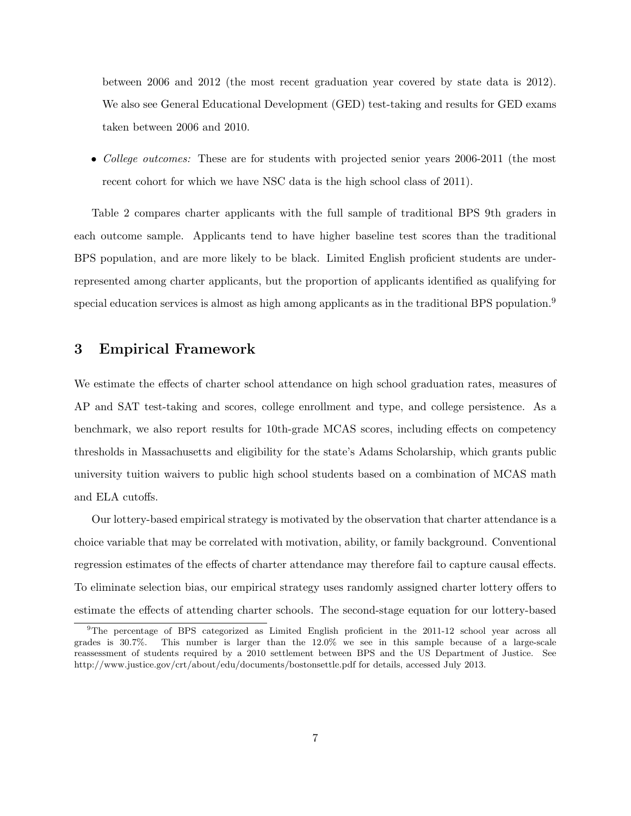between 2006 and 2012 (the most recent graduation year covered by state data is 2012). We also see General Educational Development (GED) test-taking and results for GED exams taken between 2006 and 2010.

• College outcomes: These are for students with projected senior years 2006-2011 (the most recent cohort for which we have NSC data is the high school class of 2011).

Table 2 compares charter applicants with the full sample of traditional BPS 9th graders in each outcome sample. Applicants tend to have higher baseline test scores than the traditional BPS population, and are more likely to be black. Limited English proficient students are underrepresented among charter applicants, but the proportion of applicants identified as qualifying for special education services is almost as high among applicants as in the traditional BPS population.<sup>9</sup>

### 3 Empirical Framework

We estimate the effects of charter school attendance on high school graduation rates, measures of AP and SAT test-taking and scores, college enrollment and type, and college persistence. As a benchmark, we also report results for 10th-grade MCAS scores, including effects on competency thresholds in Massachusetts and eligibility for the state's Adams Scholarship, which grants public university tuition waivers to public high school students based on a combination of MCAS math and ELA cutoffs.

Our lottery-based empirical strategy is motivated by the observation that charter attendance is a choice variable that may be correlated with motivation, ability, or family background. Conventional regression estimates of the effects of charter attendance may therefore fail to capture causal effects. To eliminate selection bias, our empirical strategy uses randomly assigned charter lottery offers to estimate the effects of attending charter schools. The second-stage equation for our lottery-based

<sup>9</sup>The percentage of BPS categorized as Limited English proficient in the 2011-12 school year across all grades is 30.7%. This number is larger than the 12.0% we see in this sample because of a large-scale reassessment of students required by a 2010 settlement between BPS and the US Department of Justice. See http://www.justice.gov/crt/about/edu/documents/bostonsettle.pdf for details, accessed July 2013.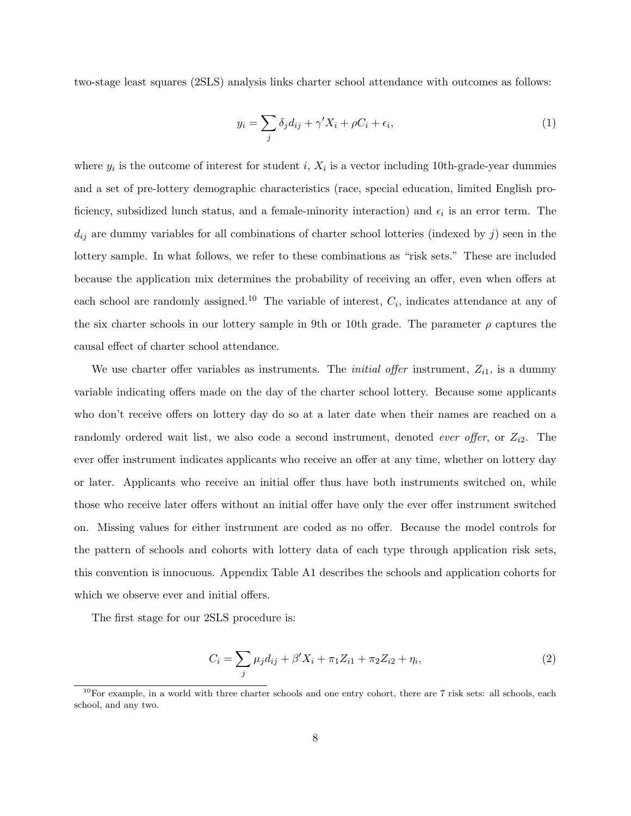two-stage least squares (2SLS) analysis links charter school attendance with outcomes as follows:

$$
y_i = \sum_j \delta_j d_{ij} + \gamma' X_i + \rho C_i + \epsilon_i,
$$
\n(1)

where  $y_i$  is the outcome of interest for student i,  $X_i$  is a vector including 10th-grade-year dummies and a set of pre-lottery demographic characteristics (race, special education, limited English proficiency, subsidized lunch status, and a female-minority interaction) and  $\epsilon_i$  is an error term. The  $d_{ij}$  are dummy variables for all combinations of charter school lotteries (indexed by  $j$ ) seen in the lottery sample. In what follows, we refer to these combinations as "risk sets." These are included because the application mix determines the probability of receiving an offer, even when offers at each school are randomly assigned.<sup>10</sup> The variable of interest,  $C_i$ , indicates attendance at any of the six charter schools in our lottery sample in 9th or 10th grade. The parameter  $\rho$  captures the causal effect of charter school attendance.

We use charter offer variables as instruments. The *initial offer* instrument,  $Z_{i1}$ , is a dummy variable indicating offers made on the day of the charter school lottery. Because some applicants who don't receive offers on lottery day do so at a later date when their names are reached on a randomly ordered wait list, we also code a second instrument, denoted *ever offer*, or  $Z_{i2}$ . The ever offer instrument indicates applicants who receive an offer at any time, whether on lottery day or later. Applicants who receive an initial offer thus have both instruments switched on, while those who receive later offers without an initial offer have only the ever offer instrument switched on. Missing values for either instrument are coded as no offer. Because the model controls for the pattern of schools and cohorts with lottery data of each type through application risk sets, this convention is innocuous. Appendix Table A1 describes the schools and application cohorts for which we observe ever and initial offers.

The first stage for our 2SLS procedure is:

$$
C_i = \sum_j \mu_j d_{ij} + \beta' X_i + \pi_1 Z_{i1} + \pi_2 Z_{i2} + \eta_i,
$$
\n(2)

 $10$ For example, in a world with three charter schools and one entry cohort, there are 7 risk sets: all schools, each school, and any two.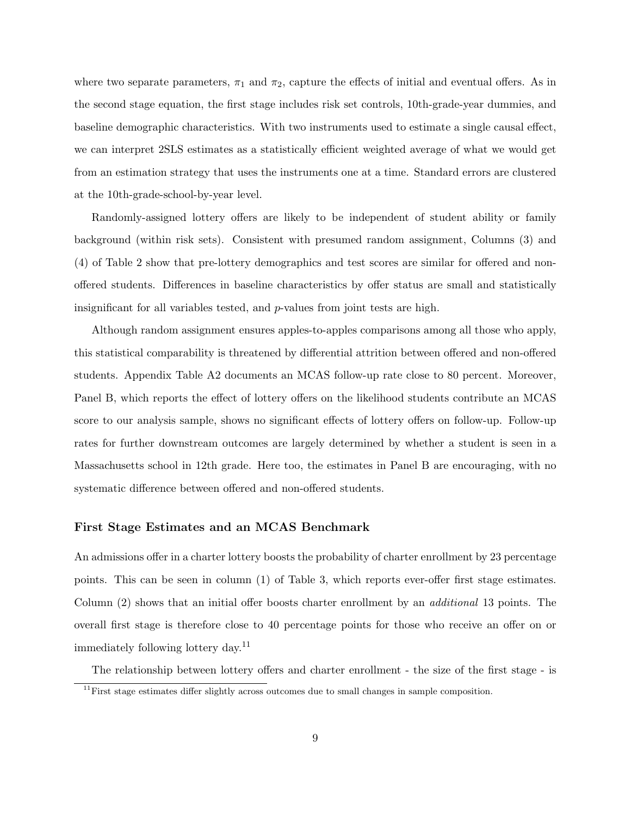where two separate parameters,  $\pi_1$  and  $\pi_2$ , capture the effects of initial and eventual offers. As in the second stage equation, the first stage includes risk set controls, 10th-grade-year dummies, and baseline demographic characteristics. With two instruments used to estimate a single causal effect, we can interpret 2SLS estimates as a statistically efficient weighted average of what we would get from an estimation strategy that uses the instruments one at a time. Standard errors are clustered at the 10th-grade-school-by-year level.

Randomly-assigned lottery offers are likely to be independent of student ability or family background (within risk sets). Consistent with presumed random assignment, Columns (3) and (4) of Table 2 show that pre-lottery demographics and test scores are similar for offered and nonoffered students. Differences in baseline characteristics by offer status are small and statistically insignificant for all variables tested, and  $p$ -values from joint tests are high.

Although random assignment ensures apples-to-apples comparisons among all those who apply, this statistical comparability is threatened by differential attrition between offered and non-offered students. Appendix Table A2 documents an MCAS follow-up rate close to 80 percent. Moreover, Panel B, which reports the effect of lottery offers on the likelihood students contribute an MCAS score to our analysis sample, shows no significant effects of lottery offers on follow-up. Follow-up rates for further downstream outcomes are largely determined by whether a student is seen in a Massachusetts school in 12th grade. Here too, the estimates in Panel B are encouraging, with no systematic difference between offered and non-offered students.

### First Stage Estimates and an MCAS Benchmark

An admissions offer in a charter lottery boosts the probability of charter enrollment by 23 percentage points. This can be seen in column (1) of Table 3, which reports ever-offer first stage estimates. Column (2) shows that an initial offer boosts charter enrollment by an additional 13 points. The overall first stage is therefore close to 40 percentage points for those who receive an offer on or immediately following lottery day.<sup>11</sup>

The relationship between lottery offers and charter enrollment - the size of the first stage - is

 $11$  First stage estimates differ slightly across outcomes due to small changes in sample composition.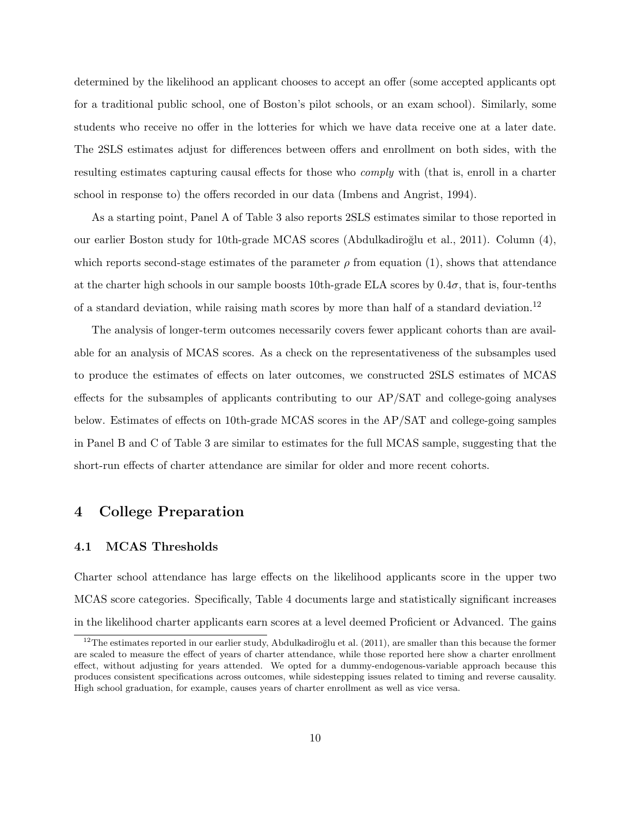determined by the likelihood an applicant chooses to accept an offer (some accepted applicants opt for a traditional public school, one of Boston's pilot schools, or an exam school). Similarly, some students who receive no offer in the lotteries for which we have data receive one at a later date. The 2SLS estimates adjust for differences between offers and enrollment on both sides, with the resulting estimates capturing causal effects for those who *comply* with (that is, enroll in a charter school in response to) the offers recorded in our data (Imbens and Angrist, 1994).

As a starting point, Panel A of Table 3 also reports 2SLS estimates similar to those reported in our earlier Boston study for 10th-grade MCAS scores (Abdulkadiro˘glu et al., 2011). Column (4), which reports second-stage estimates of the parameter  $\rho$  from equation (1), shows that attendance at the charter high schools in our sample boosts 10th-grade ELA scores by  $0.4\sigma$ , that is, four-tenths of a standard deviation, while raising math scores by more than half of a standard deviation.<sup>12</sup>

The analysis of longer-term outcomes necessarily covers fewer applicant cohorts than are available for an analysis of MCAS scores. As a check on the representativeness of the subsamples used to produce the estimates of effects on later outcomes, we constructed 2SLS estimates of MCAS effects for the subsamples of applicants contributing to our AP/SAT and college-going analyses below. Estimates of effects on 10th-grade MCAS scores in the AP/SAT and college-going samples in Panel B and C of Table 3 are similar to estimates for the full MCAS sample, suggesting that the short-run effects of charter attendance are similar for older and more recent cohorts.

# 4 College Preparation

### 4.1 MCAS Thresholds

Charter school attendance has large effects on the likelihood applicants score in the upper two MCAS score categories. Specifically, Table 4 documents large and statistically significant increases in the likelihood charter applicants earn scores at a level deemed Proficient or Advanced. The gains

 $12$ The estimates reported in our earlier study, Abdulkadiroğlu et al. (2011), are smaller than this because the former are scaled to measure the effect of years of charter attendance, while those reported here show a charter enrollment effect, without adjusting for years attended. We opted for a dummy-endogenous-variable approach because this produces consistent specifications across outcomes, while sidestepping issues related to timing and reverse causality. High school graduation, for example, causes years of charter enrollment as well as vice versa.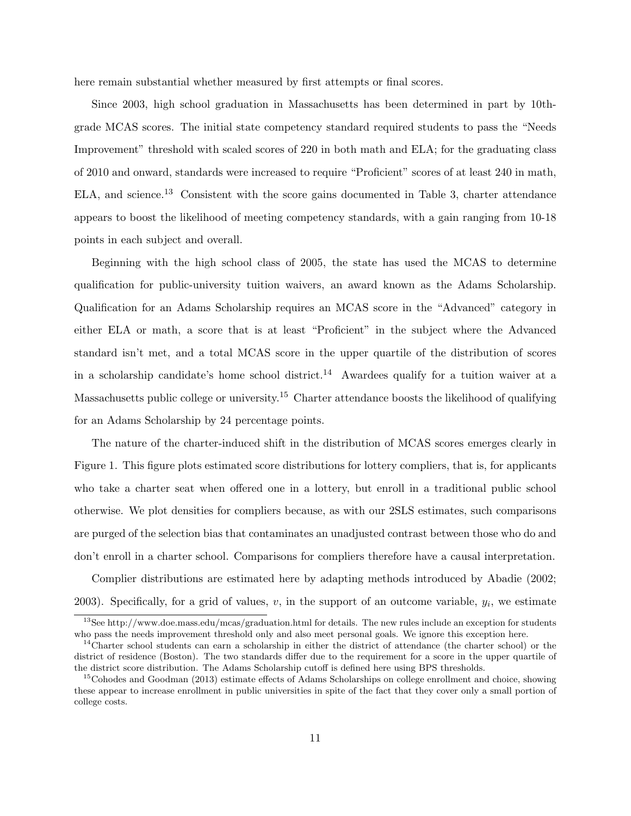here remain substantial whether measured by first attempts or final scores.

Since 2003, high school graduation in Massachusetts has been determined in part by 10thgrade MCAS scores. The initial state competency standard required students to pass the "Needs Improvement" threshold with scaled scores of 220 in both math and ELA; for the graduating class of 2010 and onward, standards were increased to require "Proficient" scores of at least 240 in math, ELA, and science.<sup>13</sup> Consistent with the score gains documented in Table 3, charter attendance appears to boost the likelihood of meeting competency standards, with a gain ranging from 10-18 points in each subject and overall.

Beginning with the high school class of 2005, the state has used the MCAS to determine qualification for public-university tuition waivers, an award known as the Adams Scholarship. Qualification for an Adams Scholarship requires an MCAS score in the "Advanced" category in either ELA or math, a score that is at least "Proficient" in the subject where the Advanced standard isn't met, and a total MCAS score in the upper quartile of the distribution of scores in a scholarship candidate's home school district.<sup>14</sup> Awardees qualify for a tuition waiver at a Massachusetts public college or university.<sup>15</sup> Charter attendance boosts the likelihood of qualifying for an Adams Scholarship by 24 percentage points.

The nature of the charter-induced shift in the distribution of MCAS scores emerges clearly in Figure 1. This figure plots estimated score distributions for lottery compliers, that is, for applicants who take a charter seat when offered one in a lottery, but enroll in a traditional public school otherwise. We plot densities for compliers because, as with our 2SLS estimates, such comparisons are purged of the selection bias that contaminates an unadjusted contrast between those who do and don't enroll in a charter school. Comparisons for compliers therefore have a causal interpretation.

Complier distributions are estimated here by adapting methods introduced by Abadie (2002; 2003). Specifically, for a grid of values,  $v$ , in the support of an outcome variable,  $y_i$ , we estimate

<sup>&</sup>lt;sup>13</sup>See http://www.doe.mass.edu/mcas/graduation.html for details. The new rules include an exception for students who pass the needs improvement threshold only and also meet personal goals. We ignore this exception here.

 $14$ Charter school students can earn a scholarship in either the district of attendance (the charter school) or the district of residence (Boston). The two standards differ due to the requirement for a score in the upper quartile of the district score distribution. The Adams Scholarship cutoff is defined here using BPS thresholds.

<sup>&</sup>lt;sup>15</sup>Cohodes and Goodman (2013) estimate effects of Adams Scholarships on college enrollment and choice, showing these appear to increase enrollment in public universities in spite of the fact that they cover only a small portion of college costs.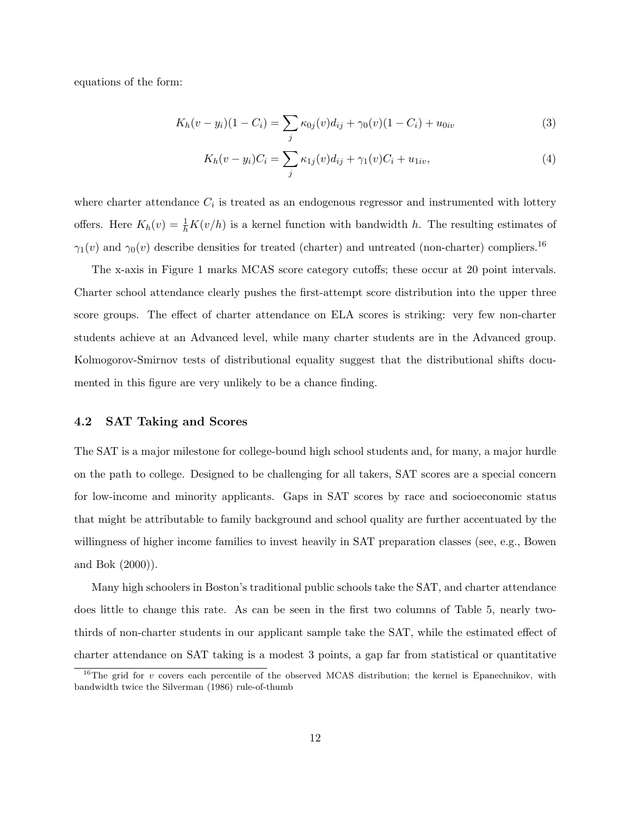equations of the form:

$$
K_h(v - y_i)(1 - C_i) = \sum_j \kappa_{0j}(v)d_{ij} + \gamma_0(v)(1 - C_i) + u_{0iv}
$$
\n(3)

$$
K_h(v - y_i)C_i = \sum_j \kappa_{1j}(v)d_{ij} + \gamma_1(v)C_i + u_{1iv},\tag{4}
$$

where charter attendance  $C_i$  is treated as an endogenous regressor and instrumented with lottery offers. Here  $K_h(v) = \frac{1}{h}K(v/h)$  is a kernel function with bandwidth h. The resulting estimates of  $\gamma_1(v)$  and  $\gamma_0(v)$  describe densities for treated (charter) and untreated (non-charter) compliers.<sup>16</sup>

The x-axis in Figure 1 marks MCAS score category cutoffs; these occur at 20 point intervals. Charter school attendance clearly pushes the first-attempt score distribution into the upper three score groups. The effect of charter attendance on ELA scores is striking: very few non-charter students achieve at an Advanced level, while many charter students are in the Advanced group. Kolmogorov-Smirnov tests of distributional equality suggest that the distributional shifts documented in this figure are very unlikely to be a chance finding.

### 4.2 SAT Taking and Scores

The SAT is a major milestone for college-bound high school students and, for many, a major hurdle on the path to college. Designed to be challenging for all takers, SAT scores are a special concern for low-income and minority applicants. Gaps in SAT scores by race and socioeconomic status that might be attributable to family background and school quality are further accentuated by the willingness of higher income families to invest heavily in SAT preparation classes (see, e.g., Bowen and Bok (2000)).

Many high schoolers in Boston's traditional public schools take the SAT, and charter attendance does little to change this rate. As can be seen in the first two columns of Table 5, nearly twothirds of non-charter students in our applicant sample take the SAT, while the estimated effect of charter attendance on SAT taking is a modest 3 points, a gap far from statistical or quantitative

<sup>&</sup>lt;sup>16</sup>The grid for v covers each percentile of the observed MCAS distribution; the kernel is Epanechnikov, with bandwidth twice the Silverman (1986) rule-of-thumb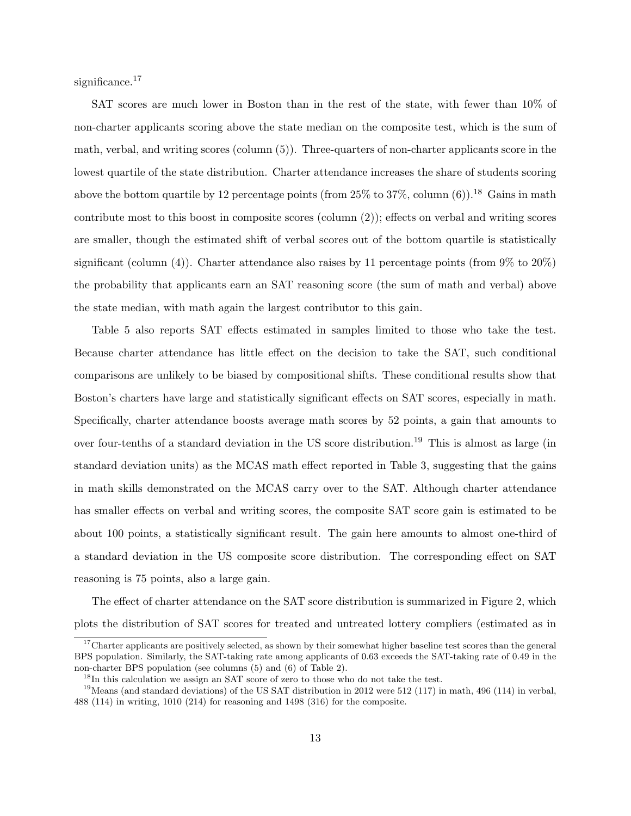significance.<sup>17</sup>

SAT scores are much lower in Boston than in the rest of the state, with fewer than 10% of non-charter applicants scoring above the state median on the composite test, which is the sum of math, verbal, and writing scores (column (5)). Three-quarters of non-charter applicants score in the lowest quartile of the state distribution. Charter attendance increases the share of students scoring above the bottom quartile by 12 percentage points (from  $25\%$  to  $37\%$ , column (6)).<sup>18</sup> Gains in math contribute most to this boost in composite scores (column (2)); effects on verbal and writing scores are smaller, though the estimated shift of verbal scores out of the bottom quartile is statistically significant (column (4)). Charter attendance also raises by 11 percentage points (from  $9\%$  to  $20\%$ ) the probability that applicants earn an SAT reasoning score (the sum of math and verbal) above the state median, with math again the largest contributor to this gain.

Table 5 also reports SAT effects estimated in samples limited to those who take the test. Because charter attendance has little effect on the decision to take the SAT, such conditional comparisons are unlikely to be biased by compositional shifts. These conditional results show that Boston's charters have large and statistically significant effects on SAT scores, especially in math. Specifically, charter attendance boosts average math scores by 52 points, a gain that amounts to over four-tenths of a standard deviation in the US score distribution.<sup>19</sup> This is almost as large (in standard deviation units) as the MCAS math effect reported in Table 3, suggesting that the gains in math skills demonstrated on the MCAS carry over to the SAT. Although charter attendance has smaller effects on verbal and writing scores, the composite SAT score gain is estimated to be about 100 points, a statistically significant result. The gain here amounts to almost one-third of a standard deviation in the US composite score distribution. The corresponding effect on SAT reasoning is 75 points, also a large gain.

The effect of charter attendance on the SAT score distribution is summarized in Figure 2, which plots the distribution of SAT scores for treated and untreated lottery compliers (estimated as in

<sup>&</sup>lt;sup>17</sup>Charter applicants are positively selected, as shown by their somewhat higher baseline test scores than the general BPS population. Similarly, the SAT-taking rate among applicants of 0.63 exceeds the SAT-taking rate of 0.49 in the non-charter BPS population (see columns (5) and (6) of Table 2).

 $18$ In this calculation we assign an SAT score of zero to those who do not take the test.

<sup>&</sup>lt;sup>19</sup>Means (and standard deviations) of the US SAT distribution in 2012 were 512 (117) in math, 496 (114) in verbal, 488 (114) in writing, 1010 (214) for reasoning and 1498 (316) for the composite.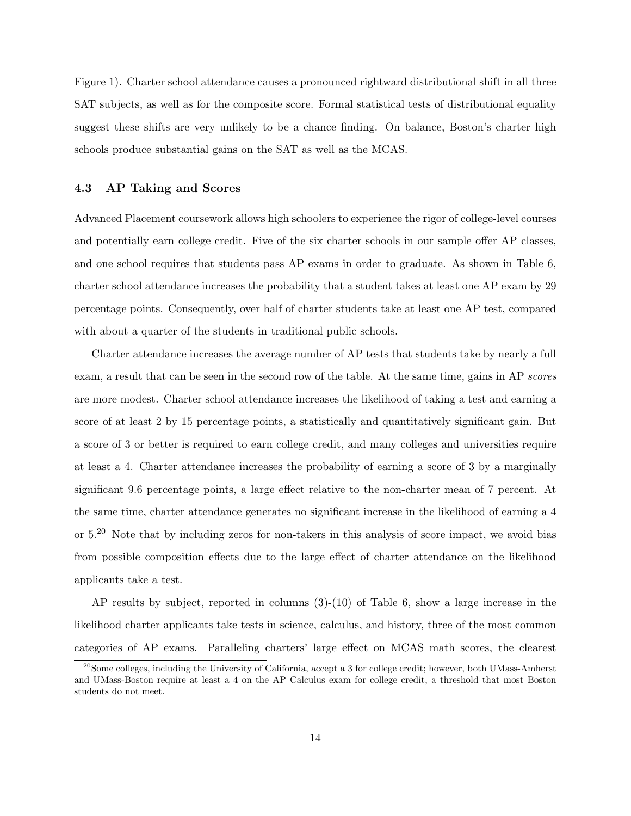Figure 1). Charter school attendance causes a pronounced rightward distributional shift in all three SAT subjects, as well as for the composite score. Formal statistical tests of distributional equality suggest these shifts are very unlikely to be a chance finding. On balance, Boston's charter high schools produce substantial gains on the SAT as well as the MCAS.

### 4.3 AP Taking and Scores

Advanced Placement coursework allows high schoolers to experience the rigor of college-level courses and potentially earn college credit. Five of the six charter schools in our sample offer AP classes, and one school requires that students pass AP exams in order to graduate. As shown in Table 6, charter school attendance increases the probability that a student takes at least one AP exam by 29 percentage points. Consequently, over half of charter students take at least one AP test, compared with about a quarter of the students in traditional public schools.

Charter attendance increases the average number of AP tests that students take by nearly a full exam, a result that can be seen in the second row of the table. At the same time, gains in AP scores are more modest. Charter school attendance increases the likelihood of taking a test and earning a score of at least 2 by 15 percentage points, a statistically and quantitatively significant gain. But a score of 3 or better is required to earn college credit, and many colleges and universities require at least a 4. Charter attendance increases the probability of earning a score of 3 by a marginally significant 9.6 percentage points, a large effect relative to the non-charter mean of 7 percent. At the same time, charter attendance generates no significant increase in the likelihood of earning a 4 or 5.<sup>20</sup> Note that by including zeros for non-takers in this analysis of score impact, we avoid bias from possible composition effects due to the large effect of charter attendance on the likelihood applicants take a test.

AP results by subject, reported in columns (3)-(10) of Table 6, show a large increase in the likelihood charter applicants take tests in science, calculus, and history, three of the most common categories of AP exams. Paralleling charters' large effect on MCAS math scores, the clearest

<sup>&</sup>lt;sup>20</sup>Some colleges, including the University of California, accept a 3 for college credit; however, both UMass-Amherst and UMass-Boston require at least a 4 on the AP Calculus exam for college credit, a threshold that most Boston students do not meet.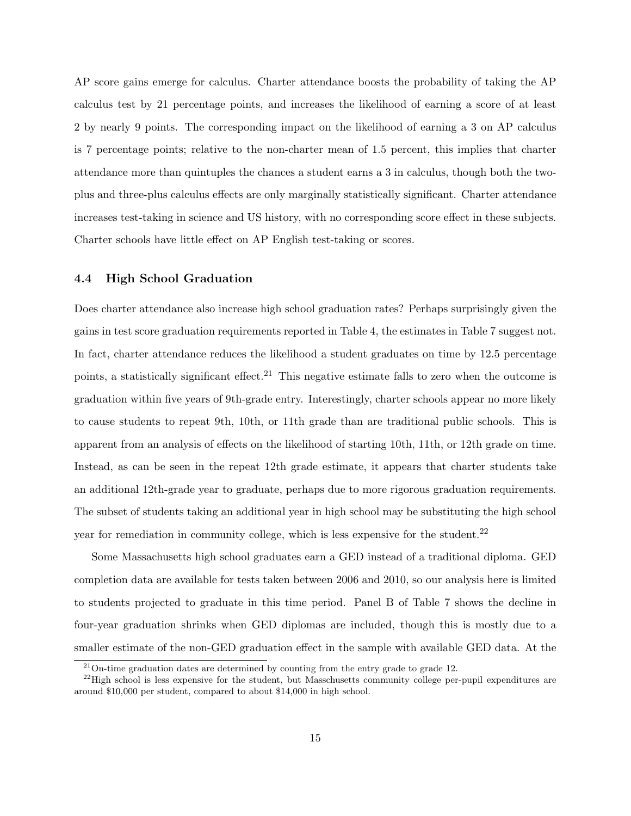AP score gains emerge for calculus. Charter attendance boosts the probability of taking the AP calculus test by 21 percentage points, and increases the likelihood of earning a score of at least 2 by nearly 9 points. The corresponding impact on the likelihood of earning a 3 on AP calculus is 7 percentage points; relative to the non-charter mean of 1.5 percent, this implies that charter attendance more than quintuples the chances a student earns a 3 in calculus, though both the twoplus and three-plus calculus effects are only marginally statistically significant. Charter attendance increases test-taking in science and US history, with no corresponding score effect in these subjects. Charter schools have little effect on AP English test-taking or scores.

### 4.4 High School Graduation

Does charter attendance also increase high school graduation rates? Perhaps surprisingly given the gains in test score graduation requirements reported in Table 4, the estimates in Table 7 suggest not. In fact, charter attendance reduces the likelihood a student graduates on time by 12.5 percentage points, a statistically significant effect.<sup>21</sup> This negative estimate falls to zero when the outcome is graduation within five years of 9th-grade entry. Interestingly, charter schools appear no more likely to cause students to repeat 9th, 10th, or 11th grade than are traditional public schools. This is apparent from an analysis of effects on the likelihood of starting 10th, 11th, or 12th grade on time. Instead, as can be seen in the repeat 12th grade estimate, it appears that charter students take an additional 12th-grade year to graduate, perhaps due to more rigorous graduation requirements. The subset of students taking an additional year in high school may be substituting the high school year for remediation in community college, which is less expensive for the student.<sup>22</sup>

Some Massachusetts high school graduates earn a GED instead of a traditional diploma. GED completion data are available for tests taken between 2006 and 2010, so our analysis here is limited to students projected to graduate in this time period. Panel B of Table 7 shows the decline in four-year graduation shrinks when GED diplomas are included, though this is mostly due to a smaller estimate of the non-GED graduation effect in the sample with available GED data. At the

 $21$ On-time graduation dates are determined by counting from the entry grade to grade 12.

<sup>&</sup>lt;sup>22</sup>High school is less expensive for the student, but Masschusetts community college per-pupil expenditures are around \$10,000 per student, compared to about \$14,000 in high school.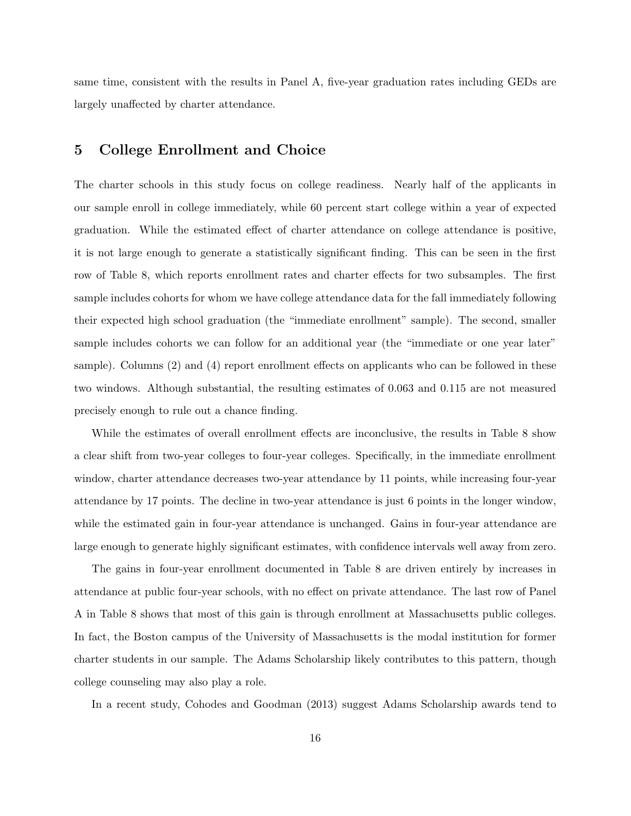same time, consistent with the results in Panel A, five-year graduation rates including GEDs are largely unaffected by charter attendance.

# 5 College Enrollment and Choice

The charter schools in this study focus on college readiness. Nearly half of the applicants in our sample enroll in college immediately, while 60 percent start college within a year of expected graduation. While the estimated effect of charter attendance on college attendance is positive, it is not large enough to generate a statistically significant finding. This can be seen in the first row of Table 8, which reports enrollment rates and charter effects for two subsamples. The first sample includes cohorts for whom we have college attendance data for the fall immediately following their expected high school graduation (the "immediate enrollment" sample). The second, smaller sample includes cohorts we can follow for an additional year (the "immediate or one year later" sample). Columns (2) and (4) report enrollment effects on applicants who can be followed in these two windows. Although substantial, the resulting estimates of 0.063 and 0.115 are not measured precisely enough to rule out a chance finding.

While the estimates of overall enrollment effects are inconclusive, the results in Table 8 show a clear shift from two-year colleges to four-year colleges. Specifically, in the immediate enrollment window, charter attendance decreases two-year attendance by 11 points, while increasing four-year attendance by 17 points. The decline in two-year attendance is just 6 points in the longer window, while the estimated gain in four-year attendance is unchanged. Gains in four-year attendance are large enough to generate highly significant estimates, with confidence intervals well away from zero.

The gains in four-year enrollment documented in Table 8 are driven entirely by increases in attendance at public four-year schools, with no effect on private attendance. The last row of Panel A in Table 8 shows that most of this gain is through enrollment at Massachusetts public colleges. In fact, the Boston campus of the University of Massachusetts is the modal institution for former charter students in our sample. The Adams Scholarship likely contributes to this pattern, though college counseling may also play a role.

In a recent study, Cohodes and Goodman (2013) suggest Adams Scholarship awards tend to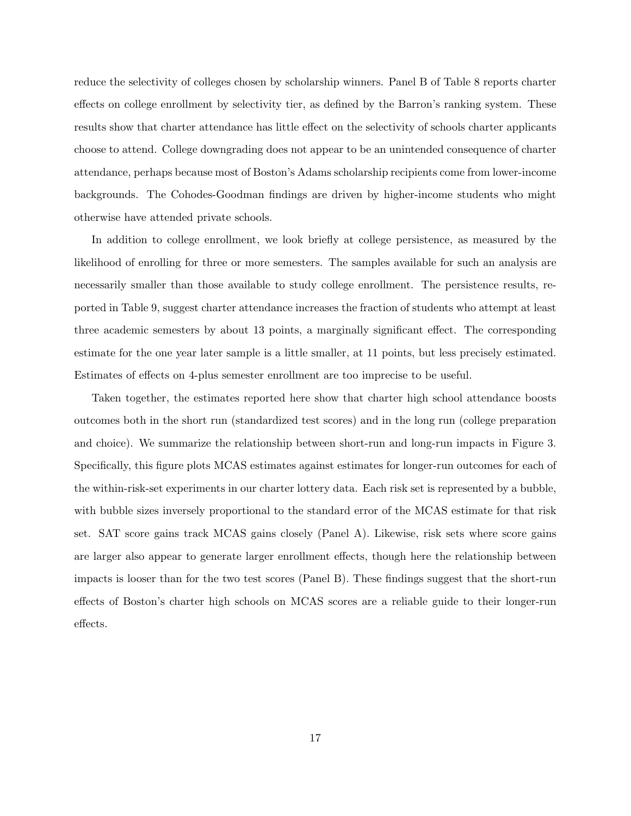reduce the selectivity of colleges chosen by scholarship winners. Panel B of Table 8 reports charter effects on college enrollment by selectivity tier, as defined by the Barron's ranking system. These results show that charter attendance has little effect on the selectivity of schools charter applicants choose to attend. College downgrading does not appear to be an unintended consequence of charter attendance, perhaps because most of Boston's Adams scholarship recipients come from lower-income backgrounds. The Cohodes-Goodman findings are driven by higher-income students who might otherwise have attended private schools.

In addition to college enrollment, we look briefly at college persistence, as measured by the likelihood of enrolling for three or more semesters. The samples available for such an analysis are necessarily smaller than those available to study college enrollment. The persistence results, reported in Table 9, suggest charter attendance increases the fraction of students who attempt at least three academic semesters by about 13 points, a marginally significant effect. The corresponding estimate for the one year later sample is a little smaller, at 11 points, but less precisely estimated. Estimates of effects on 4-plus semester enrollment are too imprecise to be useful.

Taken together, the estimates reported here show that charter high school attendance boosts outcomes both in the short run (standardized test scores) and in the long run (college preparation and choice). We summarize the relationship between short-run and long-run impacts in Figure 3. Specifically, this figure plots MCAS estimates against estimates for longer-run outcomes for each of the within-risk-set experiments in our charter lottery data. Each risk set is represented by a bubble, with bubble sizes inversely proportional to the standard error of the MCAS estimate for that risk set. SAT score gains track MCAS gains closely (Panel A). Likewise, risk sets where score gains are larger also appear to generate larger enrollment effects, though here the relationship between impacts is looser than for the two test scores (Panel B). These findings suggest that the short-run effects of Boston's charter high schools on MCAS scores are a reliable guide to their longer-run effects.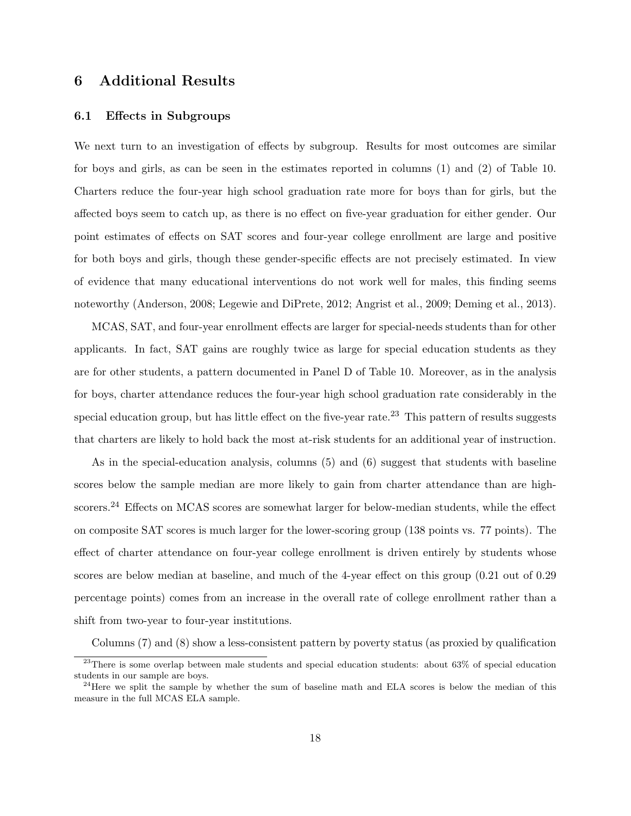# 6 Additional Results

#### 6.1 Effects in Subgroups

We next turn to an investigation of effects by subgroup. Results for most outcomes are similar for boys and girls, as can be seen in the estimates reported in columns (1) and (2) of Table 10. Charters reduce the four-year high school graduation rate more for boys than for girls, but the affected boys seem to catch up, as there is no effect on five-year graduation for either gender. Our point estimates of effects on SAT scores and four-year college enrollment are large and positive for both boys and girls, though these gender-specific effects are not precisely estimated. In view of evidence that many educational interventions do not work well for males, this finding seems noteworthy (Anderson, 2008; Legewie and DiPrete, 2012; Angrist et al., 2009; Deming et al., 2013).

MCAS, SAT, and four-year enrollment effects are larger for special-needs students than for other applicants. In fact, SAT gains are roughly twice as large for special education students as they are for other students, a pattern documented in Panel D of Table 10. Moreover, as in the analysis for boys, charter attendance reduces the four-year high school graduation rate considerably in the special education group, but has little effect on the five-year rate.<sup>23</sup> This pattern of results suggests that charters are likely to hold back the most at-risk students for an additional year of instruction.

As in the special-education analysis, columns (5) and (6) suggest that students with baseline scores below the sample median are more likely to gain from charter attendance than are highscorers.<sup>24</sup> Effects on MCAS scores are somewhat larger for below-median students, while the effect on composite SAT scores is much larger for the lower-scoring group (138 points vs. 77 points). The effect of charter attendance on four-year college enrollment is driven entirely by students whose scores are below median at baseline, and much of the 4-year effect on this group (0.21 out of 0.29 percentage points) comes from an increase in the overall rate of college enrollment rather than a shift from two-year to four-year institutions.

Columns (7) and (8) show a less-consistent pattern by poverty status (as proxied by qualification

 $^{23}$ There is some overlap between male students and special education students: about 63% of special education students in our sample are boys.

<sup>&</sup>lt;sup>24</sup>Here we split the sample by whether the sum of baseline math and ELA scores is below the median of this measure in the full MCAS ELA sample.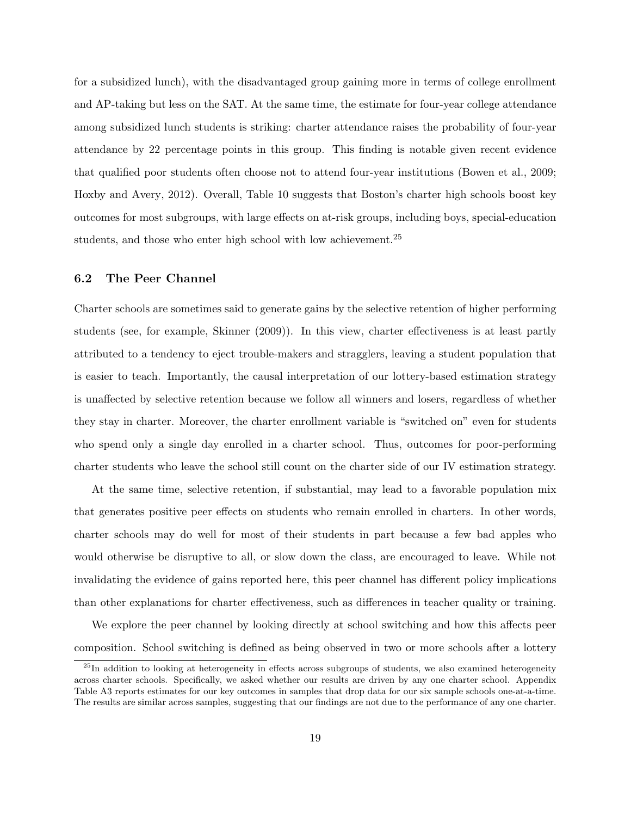for a subsidized lunch), with the disadvantaged group gaining more in terms of college enrollment and AP-taking but less on the SAT. At the same time, the estimate for four-year college attendance among subsidized lunch students is striking: charter attendance raises the probability of four-year attendance by 22 percentage points in this group. This finding is notable given recent evidence that qualified poor students often choose not to attend four-year institutions (Bowen et al., 2009; Hoxby and Avery, 2012). Overall, Table 10 suggests that Boston's charter high schools boost key outcomes for most subgroups, with large effects on at-risk groups, including boys, special-education students, and those who enter high school with low achievement.<sup>25</sup>

### 6.2 The Peer Channel

Charter schools are sometimes said to generate gains by the selective retention of higher performing students (see, for example, Skinner (2009)). In this view, charter effectiveness is at least partly attributed to a tendency to eject trouble-makers and stragglers, leaving a student population that is easier to teach. Importantly, the causal interpretation of our lottery-based estimation strategy is unaffected by selective retention because we follow all winners and losers, regardless of whether they stay in charter. Moreover, the charter enrollment variable is "switched on" even for students who spend only a single day enrolled in a charter school. Thus, outcomes for poor-performing charter students who leave the school still count on the charter side of our IV estimation strategy.

At the same time, selective retention, if substantial, may lead to a favorable population mix that generates positive peer effects on students who remain enrolled in charters. In other words, charter schools may do well for most of their students in part because a few bad apples who would otherwise be disruptive to all, or slow down the class, are encouraged to leave. While not invalidating the evidence of gains reported here, this peer channel has different policy implications than other explanations for charter effectiveness, such as differences in teacher quality or training.

We explore the peer channel by looking directly at school switching and how this affects peer composition. School switching is defined as being observed in two or more schools after a lottery

 $^{25}$ In addition to looking at heterogeneity in effects across subgroups of students, we also examined heterogeneity across charter schools. Specifically, we asked whether our results are driven by any one charter school. Appendix Table A3 reports estimates for our key outcomes in samples that drop data for our six sample schools one-at-a-time. The results are similar across samples, suggesting that our findings are not due to the performance of any one charter.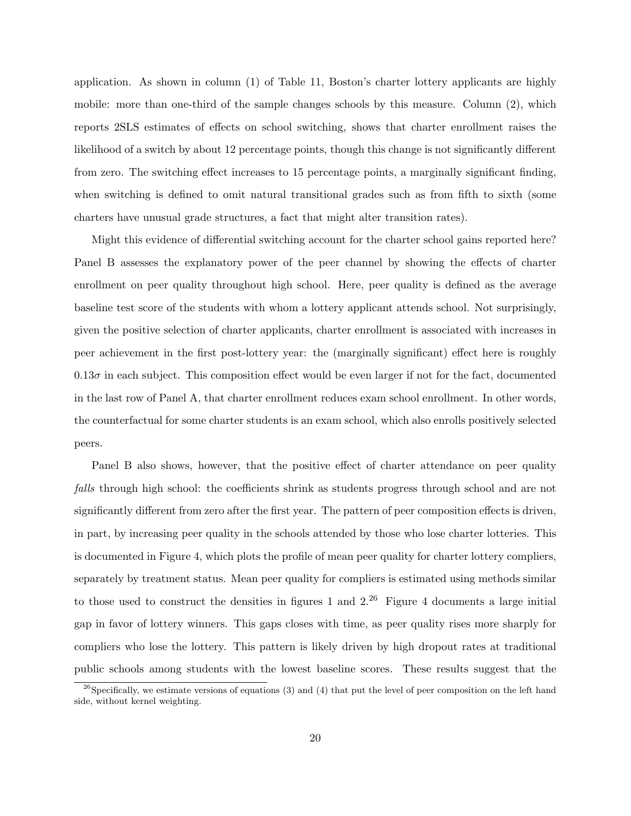application. As shown in column (1) of Table 11, Boston's charter lottery applicants are highly mobile: more than one-third of the sample changes schools by this measure. Column (2), which reports 2SLS estimates of effects on school switching, shows that charter enrollment raises the likelihood of a switch by about 12 percentage points, though this change is not significantly different from zero. The switching effect increases to 15 percentage points, a marginally significant finding, when switching is defined to omit natural transitional grades such as from fifth to sixth (some charters have unusual grade structures, a fact that might alter transition rates).

Might this evidence of differential switching account for the charter school gains reported here? Panel B assesses the explanatory power of the peer channel by showing the effects of charter enrollment on peer quality throughout high school. Here, peer quality is defined as the average baseline test score of the students with whom a lottery applicant attends school. Not surprisingly, given the positive selection of charter applicants, charter enrollment is associated with increases in peer achievement in the first post-lottery year: the (marginally significant) effect here is roughly  $0.13\sigma$  in each subject. This composition effect would be even larger if not for the fact, documented in the last row of Panel A, that charter enrollment reduces exam school enrollment. In other words, the counterfactual for some charter students is an exam school, which also enrolls positively selected peers.

Panel B also shows, however, that the positive effect of charter attendance on peer quality falls through high school: the coefficients shrink as students progress through school and are not significantly different from zero after the first year. The pattern of peer composition effects is driven, in part, by increasing peer quality in the schools attended by those who lose charter lotteries. This is documented in Figure 4, which plots the profile of mean peer quality for charter lottery compliers, separately by treatment status. Mean peer quality for compliers is estimated using methods similar to those used to construct the densities in figures 1 and  $2^{26}$  Figure 4 documents a large initial gap in favor of lottery winners. This gaps closes with time, as peer quality rises more sharply for compliers who lose the lottery. This pattern is likely driven by high dropout rates at traditional public schools among students with the lowest baseline scores. These results suggest that the

 $26$ Specifically, we estimate versions of equations (3) and (4) that put the level of peer composition on the left hand side, without kernel weighting.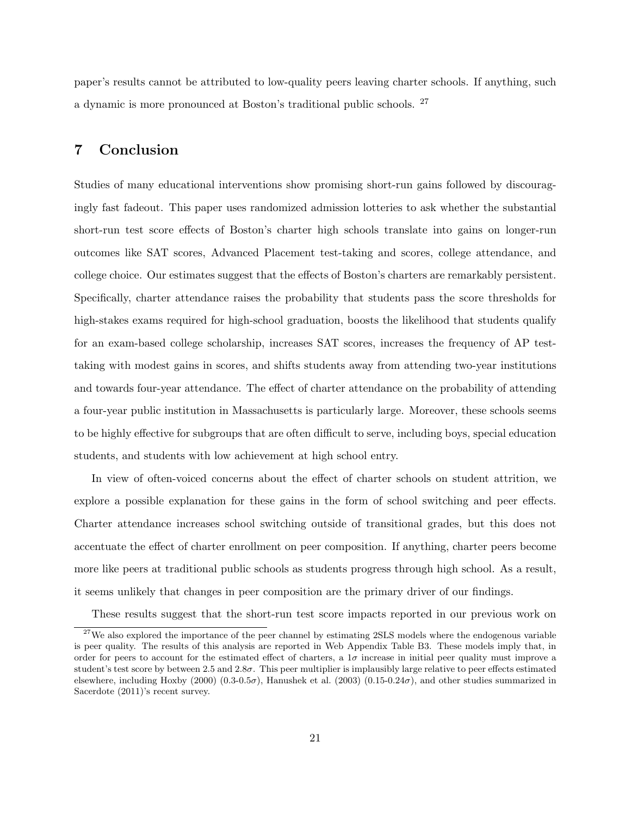paper's results cannot be attributed to low-quality peers leaving charter schools. If anything, such a dynamic is more pronounced at Boston's traditional public schools. <sup>27</sup>

# 7 Conclusion

Studies of many educational interventions show promising short-run gains followed by discouragingly fast fadeout. This paper uses randomized admission lotteries to ask whether the substantial short-run test score effects of Boston's charter high schools translate into gains on longer-run outcomes like SAT scores, Advanced Placement test-taking and scores, college attendance, and college choice. Our estimates suggest that the effects of Boston's charters are remarkably persistent. Specifically, charter attendance raises the probability that students pass the score thresholds for high-stakes exams required for high-school graduation, boosts the likelihood that students qualify for an exam-based college scholarship, increases SAT scores, increases the frequency of AP testtaking with modest gains in scores, and shifts students away from attending two-year institutions and towards four-year attendance. The effect of charter attendance on the probability of attending a four-year public institution in Massachusetts is particularly large. Moreover, these schools seems to be highly effective for subgroups that are often difficult to serve, including boys, special education students, and students with low achievement at high school entry.

In view of often-voiced concerns about the effect of charter schools on student attrition, we explore a possible explanation for these gains in the form of school switching and peer effects. Charter attendance increases school switching outside of transitional grades, but this does not accentuate the effect of charter enrollment on peer composition. If anything, charter peers become more like peers at traditional public schools as students progress through high school. As a result, it seems unlikely that changes in peer composition are the primary driver of our findings.

These results suggest that the short-run test score impacts reported in our previous work on

 $27$ We also explored the importance of the peer channel by estimating 2SLS models where the endogenous variable is peer quality. The results of this analysis are reported in Web Appendix Table B3. These models imply that, in order for peers to account for the estimated effect of charters, a  $1\sigma$  increase in initial peer quality must improve a student's test score by between 2.5 and  $2.8\sigma$ . This peer multiplier is implausibly large relative to peer effects estimated elsewhere, including Hoxby (2000) (0.3-0.5 $\sigma$ ), Hanushek et al. (2003) (0.15-0.24 $\sigma$ ), and other studies summarized in Sacerdote (2011)'s recent survey.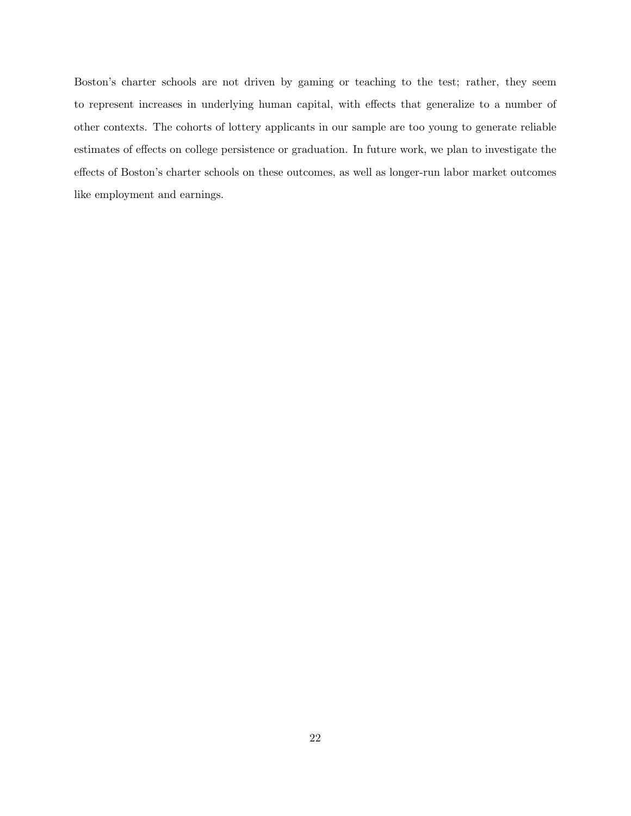Boston's charter schools are not driven by gaming or teaching to the test; rather, they seem to represent increases in underlying human capital, with effects that generalize to a number of other contexts. The cohorts of lottery applicants in our sample are too young to generate reliable estimates of effects on college persistence or graduation. In future work, we plan to investigate the effects of Boston's charter schools on these outcomes, as well as longer-run labor market outcomes like employment and earnings.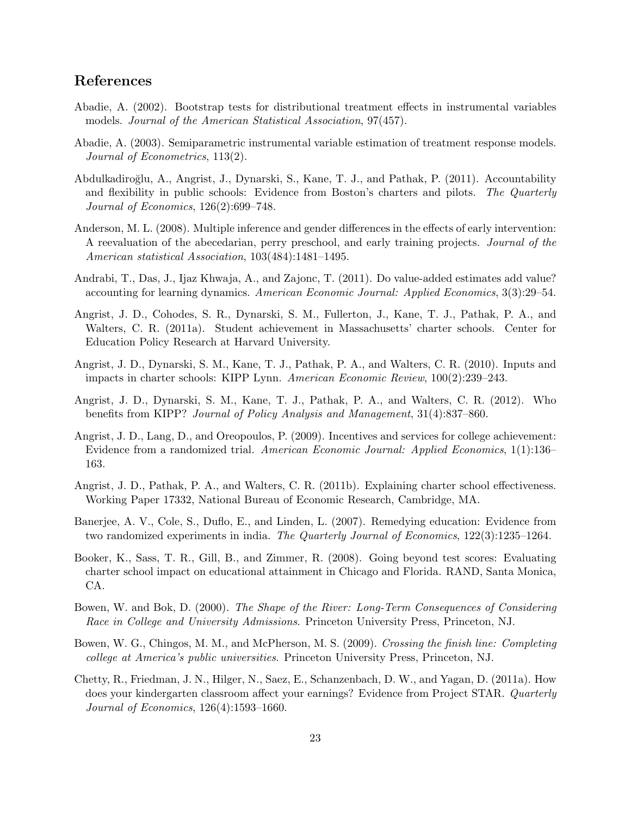# References

- Abadie, A. (2002). Bootstrap tests for distributional treatment effects in instrumental variables models. Journal of the American Statistical Association, 97(457).
- Abadie, A. (2003). Semiparametric instrumental variable estimation of treatment response models. Journal of Econometrics, 113(2).
- Abdulkadiroğlu, A., Angrist, J., Dynarski, S., Kane, T. J., and Pathak, P. (2011). Accountability and flexibility in public schools: Evidence from Boston's charters and pilots. The Quarterly Journal of Economics, 126(2):699–748.
- Anderson, M. L. (2008). Multiple inference and gender differences in the effects of early intervention: A reevaluation of the abecedarian, perry preschool, and early training projects. Journal of the American statistical Association, 103(484):1481–1495.
- Andrabi, T., Das, J., Ijaz Khwaja, A., and Zajonc, T. (2011). Do value-added estimates add value? accounting for learning dynamics. American Economic Journal: Applied Economics, 3(3):29–54.
- Angrist, J. D., Cohodes, S. R., Dynarski, S. M., Fullerton, J., Kane, T. J., Pathak, P. A., and Walters, C. R. (2011a). Student achievement in Massachusetts' charter schools. Center for Education Policy Research at Harvard University.
- Angrist, J. D., Dynarski, S. M., Kane, T. J., Pathak, P. A., and Walters, C. R. (2010). Inputs and impacts in charter schools: KIPP Lynn. American Economic Review, 100(2):239–243.
- Angrist, J. D., Dynarski, S. M., Kane, T. J., Pathak, P. A., and Walters, C. R. (2012). Who benefits from KIPP? Journal of Policy Analysis and Management, 31(4):837–860.
- Angrist, J. D., Lang, D., and Oreopoulos, P. (2009). Incentives and services for college achievement: Evidence from a randomized trial. American Economic Journal: Applied Economics, 1(1):136– 163.
- Angrist, J. D., Pathak, P. A., and Walters, C. R. (2011b). Explaining charter school effectiveness. Working Paper 17332, National Bureau of Economic Research, Cambridge, MA.
- Banerjee, A. V., Cole, S., Duflo, E., and Linden, L. (2007). Remedying education: Evidence from two randomized experiments in india. The Quarterly Journal of Economics, 122(3):1235–1264.
- Booker, K., Sass, T. R., Gill, B., and Zimmer, R. (2008). Going beyond test scores: Evaluating charter school impact on educational attainment in Chicago and Florida. RAND, Santa Monica, CA.
- Bowen, W. and Bok, D. (2000). The Shape of the River: Long-Term Consequences of Considering Race in College and University Admissions. Princeton University Press, Princeton, NJ.
- Bowen, W. G., Chingos, M. M., and McPherson, M. S. (2009). Crossing the finish line: Completing college at America's public universities. Princeton University Press, Princeton, NJ.
- Chetty, R., Friedman, J. N., Hilger, N., Saez, E., Schanzenbach, D. W., and Yagan, D. (2011a). How does your kindergarten classroom affect your earnings? Evidence from Project STAR. Quarterly Journal of Economics, 126(4):1593–1660.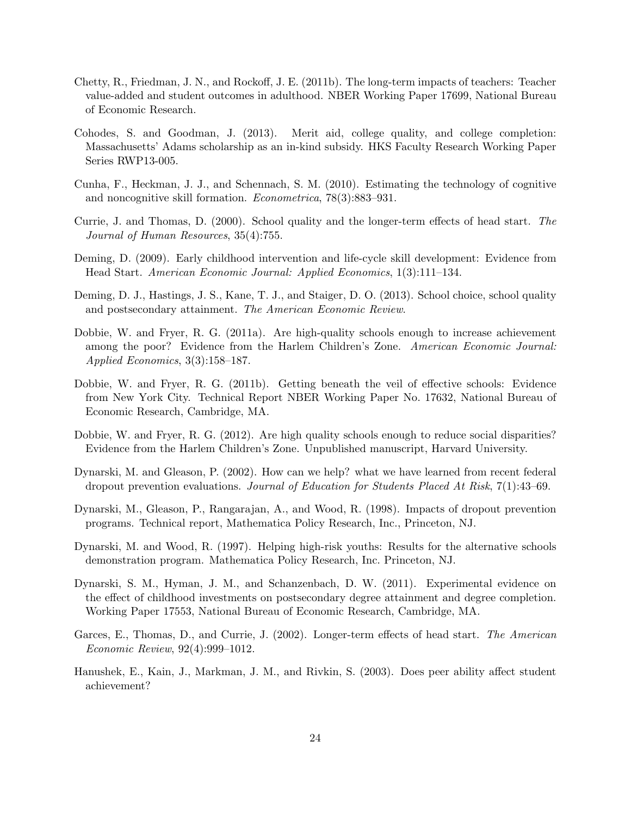- Chetty, R., Friedman, J. N., and Rockoff, J. E. (2011b). The long-term impacts of teachers: Teacher value-added and student outcomes in adulthood. NBER Working Paper 17699, National Bureau of Economic Research.
- Cohodes, S. and Goodman, J. (2013). Merit aid, college quality, and college completion: Massachusetts' Adams scholarship as an in-kind subsidy. HKS Faculty Research Working Paper Series RWP13-005.
- Cunha, F., Heckman, J. J., and Schennach, S. M. (2010). Estimating the technology of cognitive and noncognitive skill formation. Econometrica, 78(3):883–931.
- Currie, J. and Thomas, D. (2000). School quality and the longer-term effects of head start. The Journal of Human Resources, 35(4):755.
- Deming, D. (2009). Early childhood intervention and life-cycle skill development: Evidence from Head Start. American Economic Journal: Applied Economics, 1(3):111–134.
- Deming, D. J., Hastings, J. S., Kane, T. J., and Staiger, D. O. (2013). School choice, school quality and postsecondary attainment. The American Economic Review.
- Dobbie, W. and Fryer, R. G. (2011a). Are high-quality schools enough to increase achievement among the poor? Evidence from the Harlem Children's Zone. American Economic Journal: Applied Economics, 3(3):158–187.
- Dobbie, W. and Fryer, R. G. (2011b). Getting beneath the veil of effective schools: Evidence from New York City. Technical Report NBER Working Paper No. 17632, National Bureau of Economic Research, Cambridge, MA.
- Dobbie, W. and Fryer, R. G. (2012). Are high quality schools enough to reduce social disparities? Evidence from the Harlem Children's Zone. Unpublished manuscript, Harvard University.
- Dynarski, M. and Gleason, P. (2002). How can we help? what we have learned from recent federal dropout prevention evaluations. Journal of Education for Students Placed At Risk, 7(1):43–69.
- Dynarski, M., Gleason, P., Rangarajan, A., and Wood, R. (1998). Impacts of dropout prevention programs. Technical report, Mathematica Policy Research, Inc., Princeton, NJ.
- Dynarski, M. and Wood, R. (1997). Helping high-risk youths: Results for the alternative schools demonstration program. Mathematica Policy Research, Inc. Princeton, NJ.
- Dynarski, S. M., Hyman, J. M., and Schanzenbach, D. W. (2011). Experimental evidence on the effect of childhood investments on postsecondary degree attainment and degree completion. Working Paper 17553, National Bureau of Economic Research, Cambridge, MA.
- Garces, E., Thomas, D., and Currie, J. (2002). Longer-term effects of head start. The American Economic Review, 92(4):999–1012.
- Hanushek, E., Kain, J., Markman, J. M., and Rivkin, S. (2003). Does peer ability affect student achievement?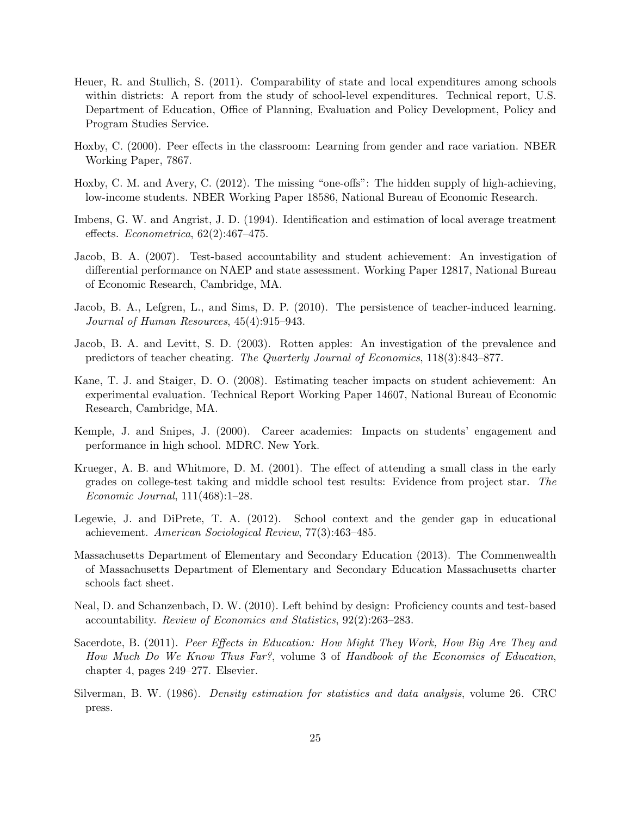- Heuer, R. and Stullich, S. (2011). Comparability of state and local expenditures among schools within districts: A report from the study of school-level expenditures. Technical report, U.S. Department of Education, Office of Planning, Evaluation and Policy Development, Policy and Program Studies Service.
- Hoxby, C. (2000). Peer effects in the classroom: Learning from gender and race variation. NBER Working Paper, 7867.
- Hoxby, C. M. and Avery, C. (2012). The missing "one-offs": The hidden supply of high-achieving, low-income students. NBER Working Paper 18586, National Bureau of Economic Research.
- Imbens, G. W. and Angrist, J. D. (1994). Identification and estimation of local average treatment effects. Econometrica, 62(2):467–475.
- Jacob, B. A. (2007). Test-based accountability and student achievement: An investigation of differential performance on NAEP and state assessment. Working Paper 12817, National Bureau of Economic Research, Cambridge, MA.
- Jacob, B. A., Lefgren, L., and Sims, D. P. (2010). The persistence of teacher-induced learning. Journal of Human Resources, 45(4):915–943.
- Jacob, B. A. and Levitt, S. D. (2003). Rotten apples: An investigation of the prevalence and predictors of teacher cheating. The Quarterly Journal of Economics, 118(3):843–877.
- Kane, T. J. and Staiger, D. O. (2008). Estimating teacher impacts on student achievement: An experimental evaluation. Technical Report Working Paper 14607, National Bureau of Economic Research, Cambridge, MA.
- Kemple, J. and Snipes, J. (2000). Career academies: Impacts on students' engagement and performance in high school. MDRC. New York.
- Krueger, A. B. and Whitmore, D. M. (2001). The effect of attending a small class in the early grades on college-test taking and middle school test results: Evidence from project star. The Economic Journal, 111(468):1–28.
- Legewie, J. and DiPrete, T. A. (2012). School context and the gender gap in educational achievement. American Sociological Review, 77(3):463–485.
- Massachusetts Department of Elementary and Secondary Education (2013). The Commenwealth of Massachusetts Department of Elementary and Secondary Education Massachusetts charter schools fact sheet.
- Neal, D. and Schanzenbach, D. W. (2010). Left behind by design: Proficiency counts and test-based accountability. Review of Economics and Statistics, 92(2):263–283.
- Sacerdote, B. (2011). Peer Effects in Education: How Might They Work, How Big Are They and How Much Do We Know Thus Far?, volume 3 of Handbook of the Economics of Education, chapter 4, pages 249–277. Elsevier.
- Silverman, B. W. (1986). Density estimation for statistics and data analysis, volume 26. CRC press.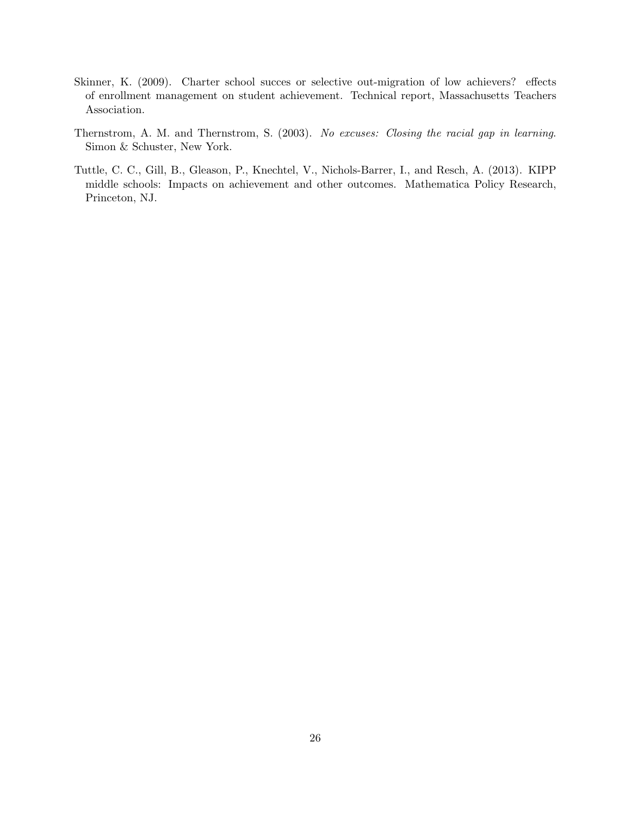- Skinner, K. (2009). Charter school succes or selective out-migration of low achievers? effects of enrollment management on student achievement. Technical report, Massachusetts Teachers Association.
- Thernstrom, A. M. and Thernstrom, S. (2003). No excuses: Closing the racial gap in learning. Simon & Schuster, New York.
- Tuttle, C. C., Gill, B., Gleason, P., Knechtel, V., Nichols-Barrer, I., and Resch, A. (2013). KIPP middle schools: Impacts on achievement and other outcomes. Mathematica Policy Research, Princeton, NJ.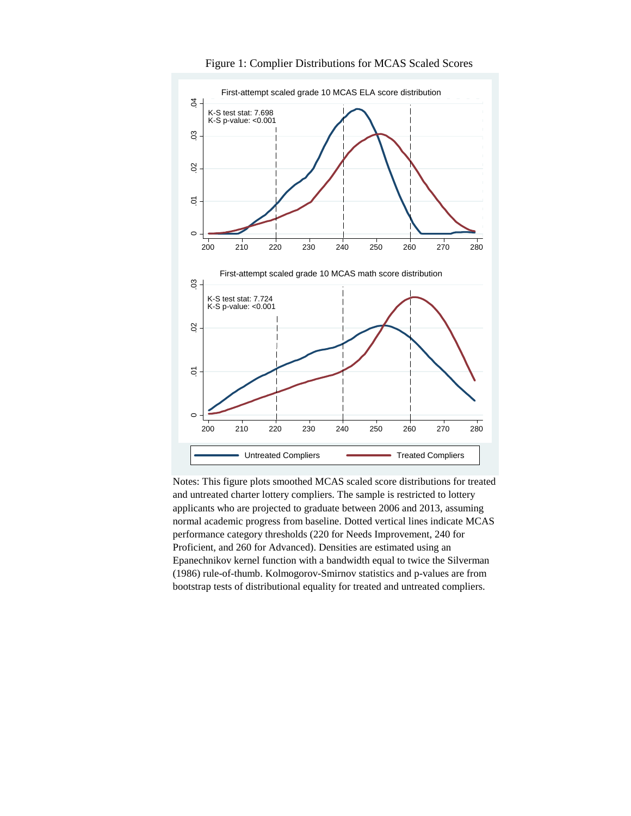

Figure 1: Complier Distributions for MCAS Scaled Scores

Notes: This figure plots smoothed MCAS scaled score distributions for treated and untreated charter lottery compliers. The sample is restricted to lottery applicants who are projected to graduate between 2006 and 2013, assuming normal academic progress from baseline. Dotted vertical lines indicate MCAS performance category thresholds (220 for Needs Improvement, 240 for Proficient, and 260 for Advanced). Densities are estimated using an Epanechnikov kernel function with a bandwidth equal to twice the Silverman (1986) rule-of-thumb. Kolmogorov-Smirnov statistics and p-values are from bootstrap tests of distributional equality for treated and untreated compliers.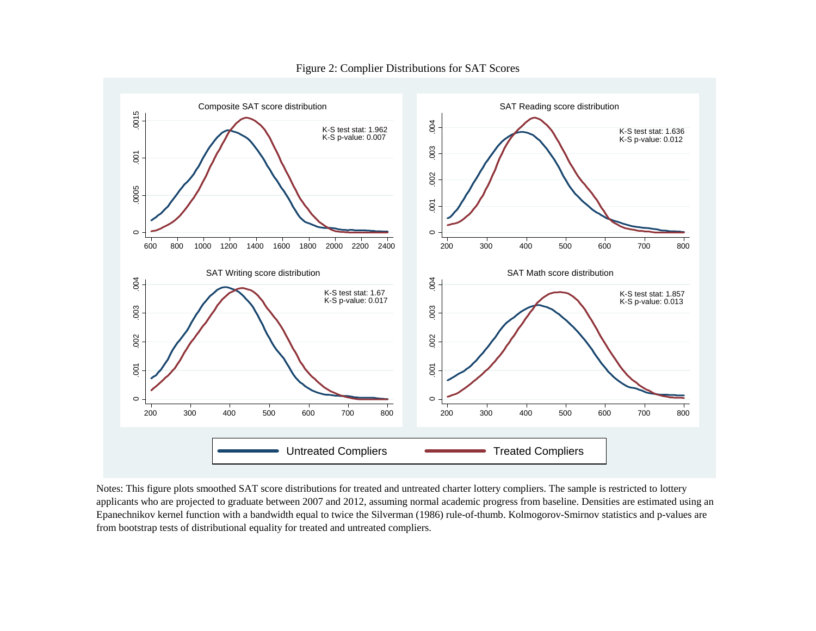

Figure 2: Complier Distributions for SAT Scores

Notes: This figure plots smoothed SAT score distributions for treated and untreated charter lottery compliers. The sample is restricted to lottery applicants who are projected to graduate between 2007 and 2012, assuming normal academic progress from baseline. Densities are estimated using an Epanechnikov kernel function with a bandwidth equal to twice the Silverman (1986) rule-of-thumb. Kolmogorov-Smirnov statistics and p-values are from bootstrap tests of distributional equality for treated and untreated compliers.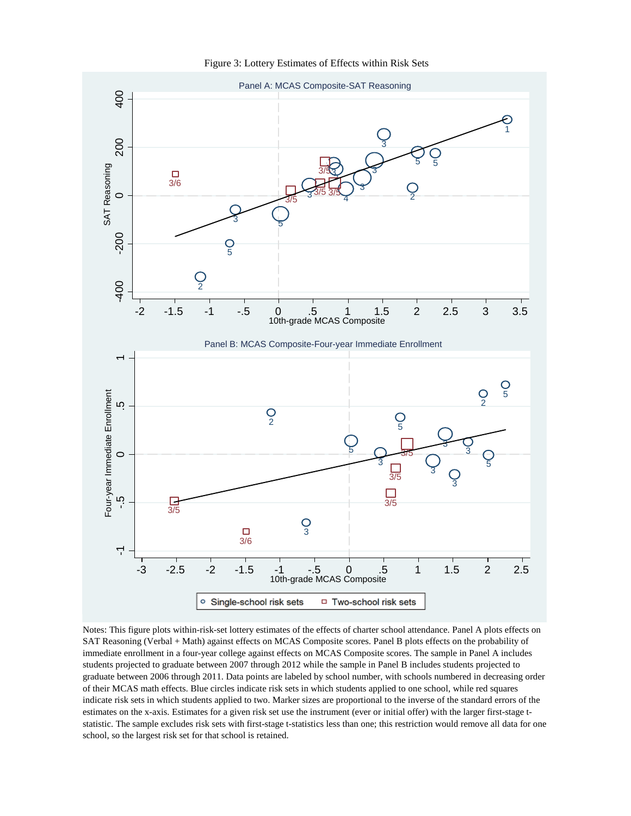Figure 3: Lottery Estimates of Effects within Risk Sets



Notes: This figure plots within-risk-set lottery estimates of the effects of charter school attendance. Panel A plots effects on SAT Reasoning (Verbal + Math) against effects on MCAS Composite scores. Panel B plots effects on the probability of immediate enrollment in a four-year college against effects on MCAS Composite scores. The sample in Panel A includes students projected to graduate between 2007 through 2012 while the sample in Panel B includes students projected to graduate between 2006 through 2011. Data points are labeled by school number, with schools numbered in decreasing order of their MCAS math effects. Blue circles indicate risk sets in which students applied to one school, while red squares indicate risk sets in which students applied to two. Marker sizes are proportional to the inverse of the standard errors of the estimates on the x-axis. Estimates for a given risk set use the instrument (ever or initial offer) with the larger first-stage tstatistic. The sample excludes risk sets with first-stage t-statistics less than one; this restriction would remove all data for one school, so the largest risk set for that school is retained.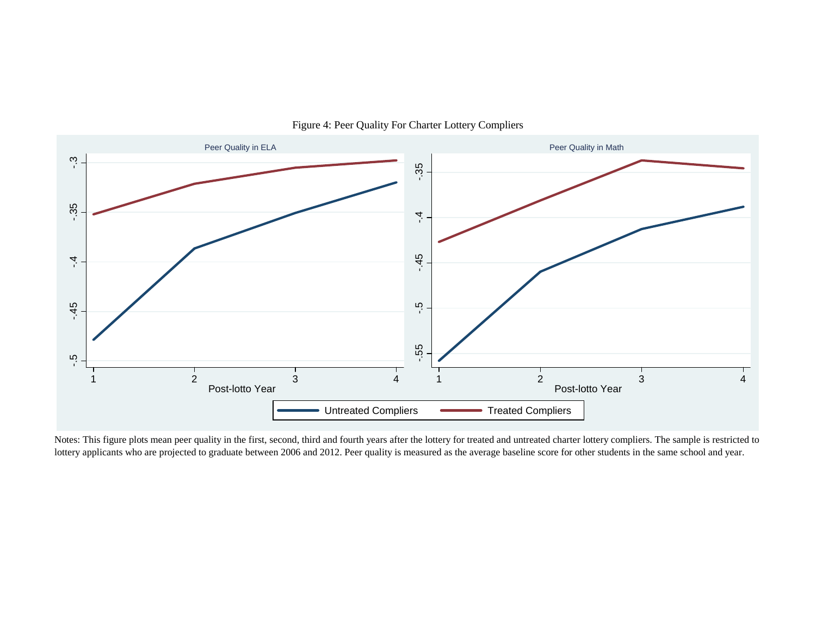

## Figure 4: Peer Quality For Charter Lottery Compliers

Notes: This figure plots mean peer quality in the first, second, third and fourth years after the lottery for treated and untreated charter lottery compliers. The sample is restricted to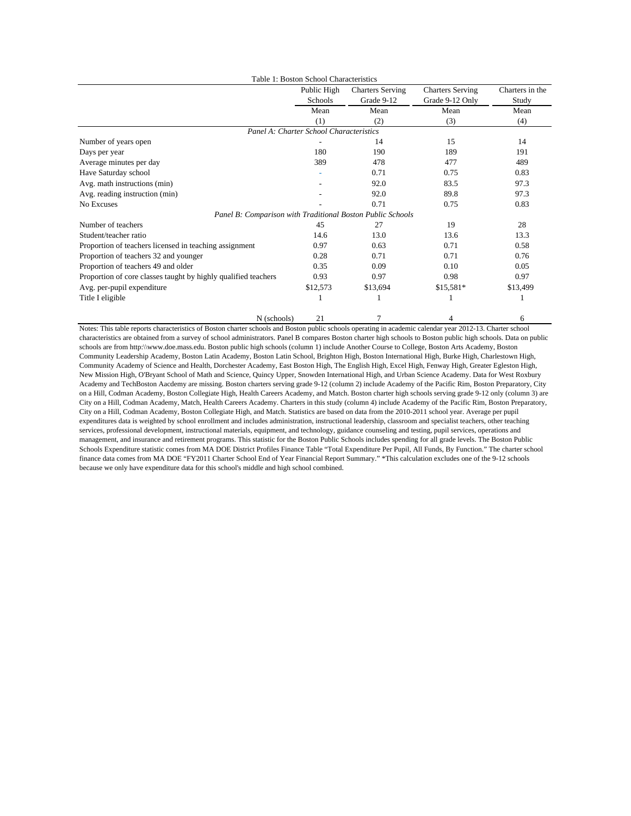|                                                                | Table 1: Boston School Characteristics |                         |                         |                 |
|----------------------------------------------------------------|----------------------------------------|-------------------------|-------------------------|-----------------|
|                                                                | Public High                            | <b>Charters Serving</b> | <b>Charters Serving</b> | Charters in the |
|                                                                | Schools                                | Grade 9-12              | Grade 9-12 Only         | Study           |
|                                                                | Mean                                   | Mean                    | Mean                    | Mean            |
|                                                                | (1)                                    | (2)                     | (3)                     | (4)             |
| Panel A: Charter School Characteristics                        |                                        |                         |                         |                 |
| Number of years open                                           |                                        | 14                      | 15                      | 14              |
| Days per year                                                  | 180                                    | 190                     | 189                     | 191             |
| Average minutes per day                                        | 389                                    | 478                     | 477                     | 489             |
| Have Saturday school                                           |                                        | 0.71                    | 0.75                    | 0.83            |
| Avg. math instructions (min)                                   |                                        | 92.0                    | 83.5                    | 97.3            |
| Avg. reading instruction (min)                                 |                                        | 92.0                    | 89.8                    | 97.3            |
| No Excuses                                                     |                                        | 0.71                    | 0.75                    | 0.83            |
| Panel B: Comparison with Traditional Boston Public Schools     |                                        |                         |                         |                 |
| Number of teachers                                             | 45                                     | 27                      | 19                      | 28              |
| Student/teacher ratio                                          | 14.6                                   | 13.0                    | 13.6                    | 13.3            |
| Proportion of teachers licensed in teaching assignment         | 0.97                                   | 0.63                    | 0.71                    | 0.58            |
| Proportion of teachers 32 and younger                          | 0.28                                   | 0.71                    | 0.71                    | 0.76            |
| Proportion of teachers 49 and older                            | 0.35                                   | 0.09                    | 0.10                    | 0.05            |
| Proportion of core classes taught by highly qualified teachers | 0.93                                   | 0.97                    | 0.98                    | 0.97            |
| Avg. per-pupil expenditure                                     | \$12,573                               | \$13,694                | $$15,581*$              | \$13,499        |
| Title I eligible                                               |                                        |                         |                         |                 |
| N (schools)                                                    | 21                                     | 7                       | 4                       | 6               |

Notes: This table reports characteristics of Boston charter schools and Boston public schools operating in academic calendar year 2012-13. Charter school characteristics are obtained from a survey of school administrators. Panel B compares Boston charter high schools to Boston public high schools. Data on public schools are from http:\\www.doe.mass.edu. Boston public high schools (column 1) include Another Course to College, Boston Arts Academy, Boston Community Leadership Academy, Boston Latin Academy, Boston Latin School, Brighton High, Boston International High, Burke High, Charlestown High, Community Academy of Science and Health, Dorchester Academy, East Boston High, The English High, Excel High, Fenway High, Greater Egleston High, New Mission High, O'Bryant School of Math and Science, Quincy Upper, Snowden International High, and Urban Science Academy. Data for West Roxbury Academy and TechBoston Aacdemy are missing. Boston charters serving grade 9-12 (column 2) include Academy of the Pacific Rim, Boston Preparatory, City on a Hill, Codman Academy, Boston Collegiate High, Health Careers Academy, and Match. Boston charter high schools serving grade 9-12 only (column 3) are City on a Hill, Codman Academy, Match, Health Careers Academy. Charters in this study (column 4) include Academy of the Pacific Rim, Boston Preparatory, City on a Hill, Codman Academy, Boston Collegiate High, and Match. Statistics are based on data from the 2010-2011 school year. Average per pupil expenditures data is weighted by school enrollment and includes administration, instructional leadership, classroom and specialist teachers, other teaching services, professional development, instructional materials, equipment, and technology, guidance counseling and testing, pupil services, operations and management, and insurance and retirement programs. This statistic for the Boston Public Schools includes spending for all grade levels. The Boston Public Schools Expenditure statistic comes from MA DOE District Profiles Finance Table "Total Expenditure Per Pupil, All Funds, By Function." The charter school finance data comes from MA DOE "FY2011 Charter School End of Year Financial Report Summary." \*This calculation excludes one of the 9-12 schools because we only have expenditure data for this school's middle and high school combined.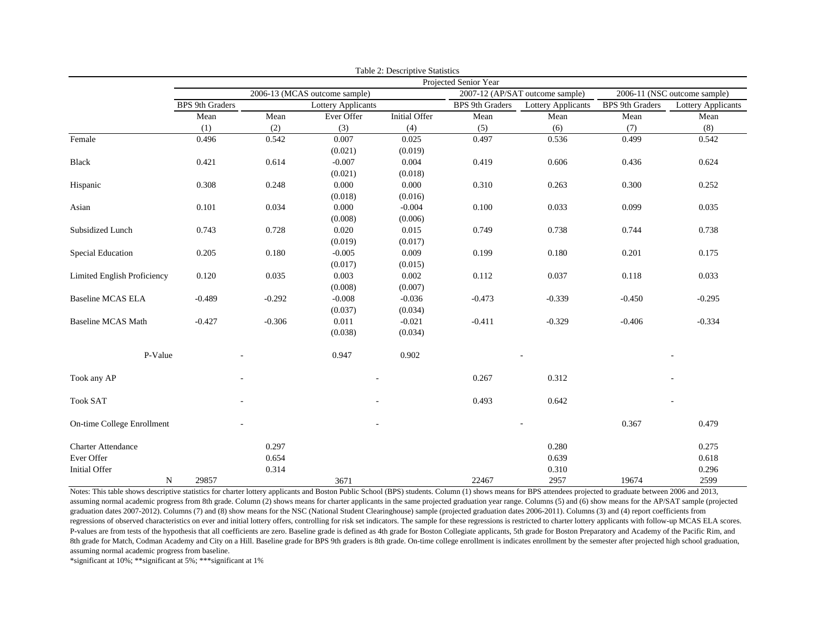|                             |                        |          |                               | Table 2: Descriptive Statistics |                        |                                 |                        |                              |
|-----------------------------|------------------------|----------|-------------------------------|---------------------------------|------------------------|---------------------------------|------------------------|------------------------------|
|                             |                        |          |                               |                                 | Projected Senior Year  |                                 |                        |                              |
|                             |                        |          | 2006-13 (MCAS outcome sample) |                                 |                        | 2007-12 (AP/SAT outcome sample) |                        | 2006-11 (NSC outcome sample) |
|                             | <b>BPS</b> 9th Graders |          | Lottery Applicants            |                                 | <b>BPS</b> 9th Graders | Lottery Applicants              | <b>BPS</b> 9th Graders | <b>Lottery Applicants</b>    |
|                             | Mean                   | Mean     | Ever Offer                    | <b>Initial Offer</b>            | Mean                   | Mean                            | Mean                   | Mean                         |
|                             | (1)                    | (2)      | (3)                           | (4)                             | (5)                    | (6)                             | (7)                    | (8)                          |
| Female                      | 0.496                  | 0.542    | 0.007                         | 0.025                           | 0.497                  | 0.536                           | 0.499                  | 0.542                        |
|                             |                        |          | (0.021)                       | (0.019)                         |                        |                                 |                        |                              |
| <b>Black</b>                | 0.421                  | 0.614    | $-0.007$                      | 0.004                           | 0.419                  | 0.606                           | 0.436                  | 0.624                        |
|                             |                        |          | (0.021)                       | (0.018)                         |                        |                                 |                        |                              |
| Hispanic                    | 0.308                  | 0.248    | 0.000                         | 0.000                           | 0.310                  | 0.263                           | 0.300                  | 0.252                        |
|                             |                        |          | (0.018)                       | (0.016)                         |                        |                                 |                        |                              |
| Asian                       | 0.101                  | 0.034    | 0.000                         | $-0.004$                        | 0.100                  | 0.033                           | 0.099                  | 0.035                        |
|                             |                        |          | (0.008)                       | (0.006)                         |                        |                                 |                        |                              |
| Subsidized Lunch            | 0.743                  | 0.728    | 0.020                         | 0.015                           | 0.749                  | 0.738                           | 0.744                  | 0.738                        |
|                             |                        |          | (0.019)                       | (0.017)                         |                        |                                 |                        |                              |
| Special Education           | 0.205                  | 0.180    | $-0.005$                      | 0.009                           | 0.199                  | 0.180                           | 0.201                  | 0.175                        |
|                             |                        |          | (0.017)                       | (0.015)                         |                        |                                 |                        |                              |
| Limited English Proficiency | 0.120                  | 0.035    | 0.003                         | 0.002                           | 0.112                  | 0.037                           | 0.118                  | 0.033                        |
|                             |                        |          | (0.008)                       | (0.007)                         |                        |                                 |                        |                              |
| <b>Baseline MCAS ELA</b>    | $-0.489$               | $-0.292$ | $-0.008$                      | $-0.036$                        | $-0.473$               | $-0.339$                        | $-0.450$               | $-0.295$                     |
|                             |                        |          | (0.037)                       | (0.034)                         |                        |                                 |                        |                              |
| <b>Baseline MCAS Math</b>   | $-0.427$               | $-0.306$ | 0.011                         | $-0.021$                        | $-0.411$               | $-0.329$                        | $-0.406$               | $-0.334$                     |
|                             |                        |          | (0.038)                       | (0.034)                         |                        |                                 |                        |                              |
| P-Value                     |                        |          | 0.947                         | 0.902                           |                        |                                 |                        |                              |
| Took any AP                 |                        |          |                               |                                 | 0.267                  | 0.312                           |                        |                              |
| <b>Took SAT</b>             |                        |          |                               |                                 | 0.493                  | 0.642                           |                        |                              |
| On-time College Enrollment  |                        |          |                               |                                 |                        |                                 | 0.367                  | 0.479                        |
| <b>Charter Attendance</b>   |                        | 0.297    |                               |                                 |                        | 0.280                           |                        | 0.275                        |
| Ever Offer                  |                        | 0.654    |                               |                                 |                        | 0.639                           |                        | 0.618                        |
| <b>Initial Offer</b>        |                        | 0.314    |                               |                                 |                        | 0.310                           |                        | 0.296                        |
| $\mathbf N$                 | 29857                  |          | 3671                          |                                 | 22467                  | 2957                            | 19674                  | 2599                         |

Notes: This table shows descriptive statistics for charter lottery applicants and Boston Public School (BPS) students. Column (1) shows means for BPS attendees projected to graduate between 2006 and 2013, assuming normal academic progress from 8th grade. Column (2) shows means for charter applicants in the same projected graduation year range. Columns (5) and (6) show means for the AP/SAT sample (projected graduation dates 2007-2012). Columns (7) and (8) show means for the NSC (National Student Clearinghouse) sample (projected graduation dates 2006-2011). Columns (3) and (4) report coefficients from regressions of observed characteristics on ever and initial lottery offers, controlling for risk set indicators. The sample for these regressions is restricted to charter lottery applicants with follow-up MCAS ELA scores. P-values are from tests of the hypothesis that all coefficients are zero. Baseline grade is defined as 4th grade for Boston Collegiate applicants, 5th grade for Boston Preparatory and Academy of the Pacific Rim, and 8th grade for Match, Codman Academy and City on a Hill. Baseline grade for BPS 9th graders is 8th grade. On-time college enrollment is indicates enrollment by the semester after projected high school graduation, assuming normal academic progress from baseline.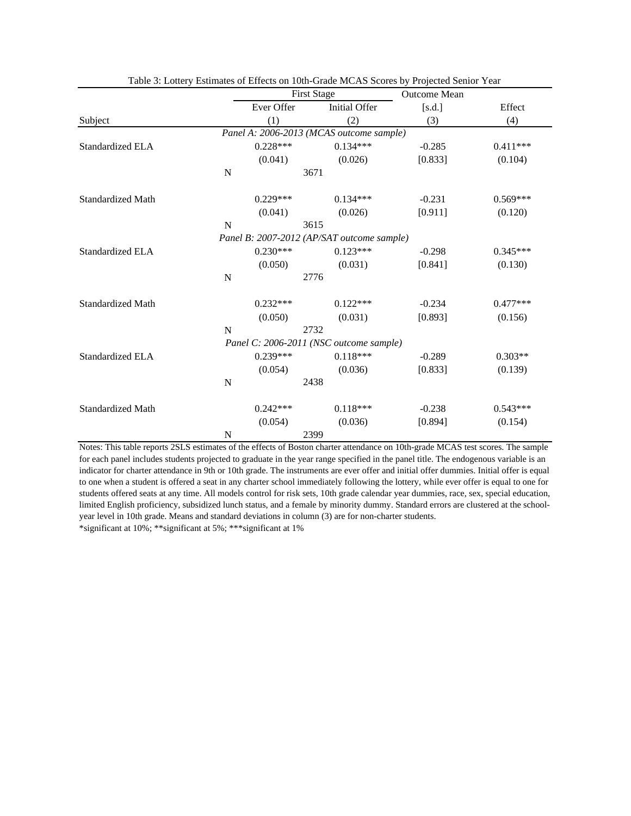|                          |                |            | <b>First Stage</b> |                                            | <b>Outcome Mean</b> |            |  |
|--------------------------|----------------|------------|--------------------|--------------------------------------------|---------------------|------------|--|
|                          |                | Ever Offer |                    | Initial Offer                              | [s.d.]              | Effect     |  |
| Subject                  |                | (1)        |                    | (2)                                        | (3)                 | (4)        |  |
|                          |                |            |                    | Panel A: 2006-2013 (MCAS outcome sample)   |                     |            |  |
| Standardized ELA         |                | $0.228***$ |                    | $0.134***$                                 | $-0.285$            | $0.411***$ |  |
|                          |                | (0.041)    |                    | (0.026)                                    | [0.833]             | (0.104)    |  |
|                          | $\mathbf N$    |            | 3671               |                                            |                     |            |  |
| <b>Standardized Math</b> |                | $0.229***$ |                    | $0.134***$                                 | $-0.231$            | $0.569***$ |  |
|                          |                | (0.041)    |                    | (0.026)                                    | [0.911]             | (0.120)    |  |
|                          | $\overline{N}$ |            | 3615               |                                            |                     |            |  |
|                          |                |            |                    | Panel B: 2007-2012 (AP/SAT outcome sample) |                     |            |  |
| <b>Standardized ELA</b>  |                | $0.230***$ |                    | $0.123***$                                 | $-0.298$            | $0.345***$ |  |
|                          |                | (0.050)    |                    | (0.031)                                    | [0.841]             | (0.130)    |  |
|                          | $\mathbf N$    |            | 2776               |                                            |                     |            |  |
| <b>Standardized Math</b> |                | $0.232***$ |                    | $0.122***$                                 | $-0.234$            | $0.477***$ |  |
|                          |                | (0.050)    |                    | (0.031)                                    | [0.893]             | (0.156)    |  |
|                          | $\mathbf N$    |            | 2732               |                                            |                     |            |  |
|                          |                |            |                    | Panel C: 2006-2011 (NSC outcome sample)    |                     |            |  |
| Standardized ELA         |                | $0.239***$ |                    | $0.118***$                                 | $-0.289$            | $0.303**$  |  |
|                          |                | (0.054)    |                    | (0.036)                                    | [0.833]             | (0.139)    |  |
|                          | N              |            | 2438               |                                            |                     |            |  |
| <b>Standardized Math</b> |                | $0.242***$ |                    | $0.118***$                                 | $-0.238$            | $0.543***$ |  |
|                          |                | (0.054)    |                    | (0.036)                                    | [0.894]             | (0.154)    |  |
|                          | $\mathbf N$    |            | 2399               |                                            |                     |            |  |

Table 3: Lottery Estimates of Effects on 10th-Grade MCAS Scores by Projected Senior Year

Notes: This table reports 2SLS estimates of the effects of Boston charter attendance on 10th-grade MCAS test scores. The sample for each panel includes students projected to graduate in the year range specified in the panel title. The endogenous variable is an indicator for charter attendance in 9th or 10th grade. The instruments are ever offer and initial offer dummies. Initial offer is equal to one when a student is offered a seat in any charter school immediately following the lottery, while ever offer is equal to one for students offered seats at any time. All models control for risk sets, 10th grade calendar year dummies, race, sex, special education, limited English proficiency, subsidized lunch status, and a female by minority dummy. Standard errors are clustered at the schoolyear level in 10th grade. Means and standard deviations in column (3) are for non-charter students.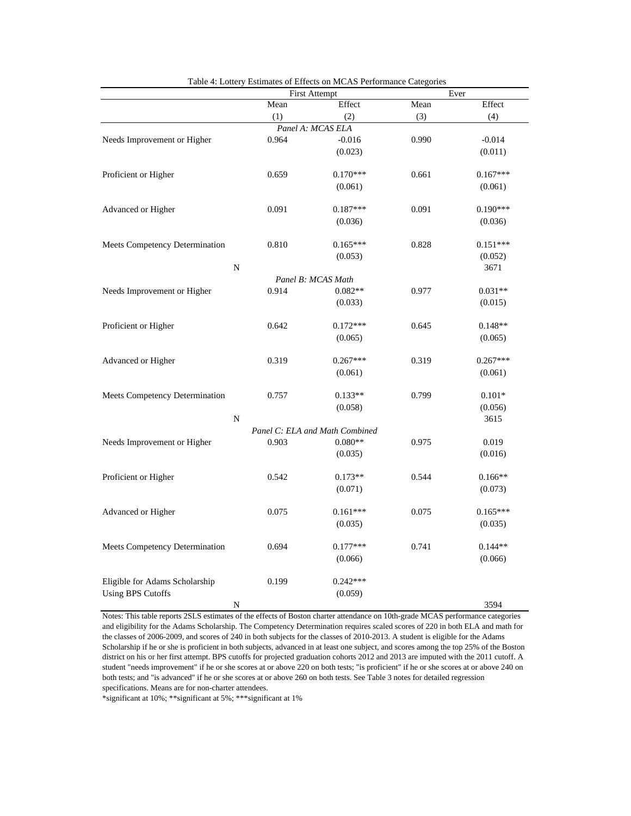|                                |       | <b>First Attempt</b>           |       | Ever       |  |  |
|--------------------------------|-------|--------------------------------|-------|------------|--|--|
|                                | Mean  | Effect                         | Mean  | Effect     |  |  |
|                                | (1)   | (2)                            | (3)   | (4)        |  |  |
|                                |       | Panel A: MCAS ELA              |       |            |  |  |
| Needs Improvement or Higher    | 0.964 | $-0.016$                       | 0.990 | $-0.014$   |  |  |
|                                |       | (0.023)                        |       | (0.011)    |  |  |
|                                |       |                                |       |            |  |  |
| Proficient or Higher           | 0.659 | $0.170***$                     | 0.661 | $0.167***$ |  |  |
|                                |       | (0.061)                        |       | (0.061)    |  |  |
| Advanced or Higher             | 0.091 | 0.187***                       | 0.091 | $0.190***$ |  |  |
|                                |       |                                |       |            |  |  |
|                                |       | (0.036)                        |       | (0.036)    |  |  |
| Meets Competency Determination | 0.810 | $0.165***$                     | 0.828 | $0.151***$ |  |  |
|                                |       | (0.053)                        |       | (0.052)    |  |  |
| $\mathbf N$                    |       |                                |       | 3671       |  |  |
|                                |       | Panel B: MCAS Math             |       |            |  |  |
| Needs Improvement or Higher    | 0.914 | $0.082**$                      | 0.977 | $0.031**$  |  |  |
|                                |       | (0.033)                        |       | (0.015)    |  |  |
|                                |       |                                |       |            |  |  |
| Proficient or Higher           | 0.642 | $0.172***$                     | 0.645 | $0.148**$  |  |  |
|                                |       | (0.065)                        |       | (0.065)    |  |  |
| Advanced or Higher             | 0.319 | $0.267***$                     | 0.319 | $0.267***$ |  |  |
|                                |       | (0.061)                        |       | (0.061)    |  |  |
|                                |       |                                |       |            |  |  |
| Meets Competency Determination | 0.757 | $0.133**$                      | 0.799 | $0.101*$   |  |  |
|                                |       | (0.058)                        |       | (0.056)    |  |  |
| $\overline{\rm N}$             |       |                                |       | 3615       |  |  |
|                                |       | Panel C: ELA and Math Combined |       |            |  |  |
| Needs Improvement or Higher    | 0.903 | $0.080**$                      | 0.975 | 0.019      |  |  |
|                                |       | (0.035)                        |       | (0.016)    |  |  |
| Proficient or Higher           | 0.542 | $0.173**$                      | 0.544 | $0.166**$  |  |  |
|                                |       | (0.071)                        |       | (0.073)    |  |  |
|                                |       |                                |       |            |  |  |
| Advanced or Higher             | 0.075 | $0.161***$                     | 0.075 | $0.165***$ |  |  |
|                                |       | (0.035)                        |       | (0.035)    |  |  |
|                                |       |                                |       |            |  |  |
| Meets Competency Determination | 0.694 | $0.177***$                     | 0.741 | $0.144**$  |  |  |
|                                |       | (0.066)                        |       | (0.066)    |  |  |
| Eligible for Adams Scholarship | 0.199 | $0.242***$                     |       |            |  |  |
| <b>Using BPS Cutoffs</b>       |       | (0.059)                        |       |            |  |  |
| N                              |       |                                |       | 3594       |  |  |
|                                |       |                                |       |            |  |  |

Table 4: Lottery Estimates of Effects on MCAS Performance Categories

Notes: This table reports 2SLS estimates of the effects of Boston charter attendance on 10th-grade MCAS performance categories and eligibility for the Adams Scholarship. The Competency Determination requires scaled scores of 220 in both ELA and math for the classes of 2006-2009, and scores of 240 in both subjects for the classes of 2010-2013. A student is eligible for the Adams Scholarship if he or she is proficient in both subjects, advanced in at least one subject, and scores among the top 25% of the Boston district on his or her first attempt. BPS cutoffs for projected graduation cohorts 2012 and 2013 are imputed with the 2011 cutoff. A student "needs improvement" if he or she scores at or above 220 on both tests; "is proficient" if he or she scores at or above 240 on both tests; and "is advanced" if he or she scores at or above 260 on both tests. See Table 3 notes for detailed regression specifications. Means are for non-charter attendees.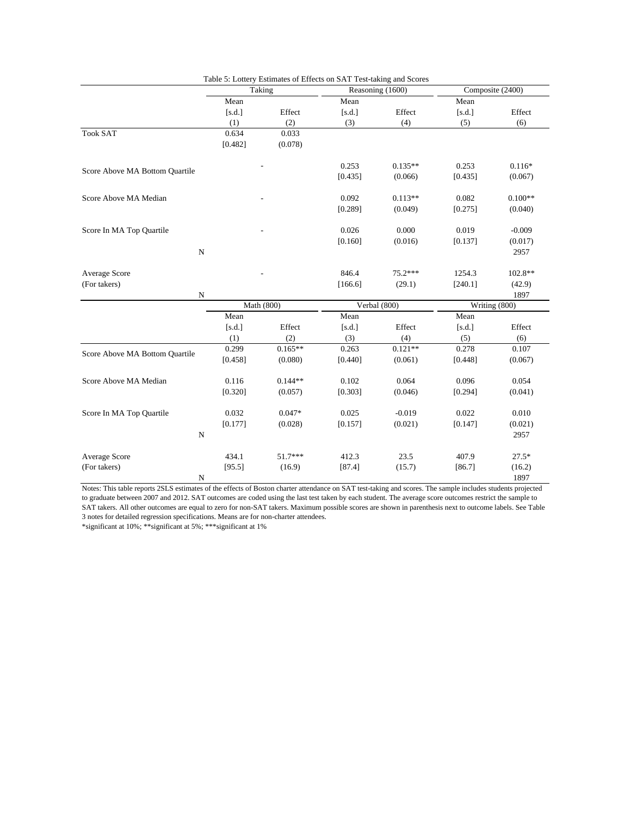|                                |             | Taking     |         | Reasoning (1600) | Composite (2400) |               |
|--------------------------------|-------------|------------|---------|------------------|------------------|---------------|
|                                | Mean        |            | Mean    |                  | Mean             |               |
|                                | [s.d.]      | Effect     | [s.d.]  | Effect           | [s.d.]           | Effect        |
|                                | (1)         | (2)        | (3)     | (4)              | (5)              | (6)           |
| <b>Took SAT</b>                | 0.634       | 0.033      |         |                  |                  |               |
|                                | [0.482]     | (0.078)    |         |                  |                  |               |
| Score Above MA Bottom Quartile |             |            | 0.253   | $0.135**$        | 0.253            | $0.116*$      |
|                                |             |            | [0.435] | (0.066)          | [0.435]          | (0.067)       |
| Score Above MA Median          |             |            | 0.092   | $0.113**$        | 0.082            | $0.100**$     |
|                                |             |            | [0.289] | (0.049)          | [0.275]          | (0.040)       |
| Score In MA Top Quartile       |             |            | 0.026   | 0.000            | 0.019            | $-0.009$      |
|                                |             |            | [0.160] | (0.016)          | [0.137]          | (0.017)       |
|                                | ${\bf N}$   |            |         |                  |                  | 2957          |
| Average Score                  |             |            | 846.4   | $75.2***$        | 1254.3           | 102.8**       |
| (For takers)                   |             |            | [166.6] | (29.1)           | [240.1]          | (42.9)        |
|                                | $\mathbf N$ |            |         |                  |                  | 1897          |
|                                |             | Math (800) |         | Verbal (800)     |                  | Writing (800) |
|                                | Mean        |            | Mean    |                  | Mean             |               |
|                                | [s.d.]      | Effect     | [s.d.]  | Effect           | [s.d.]           | Effect        |
|                                | (1)         | (2)        | (3)     | (4)              | (5)              | (6)           |
| Score Above MA Bottom Quartile | 0.299       | $0.165**$  | 0.263   | $0.121**$        | 0.278            | 0.107         |
|                                | [0.458]     | (0.080)    | [0.440] | (0.061)          | [0.448]          | (0.067)       |
| Score Above MA Median          | 0.116       | $0.144**$  | 0.102   | 0.064            | 0.096            | 0.054         |
|                                | [0.320]     | (0.057)    | [0.303] | (0.046)          | [0.294]          | (0.041)       |
| Score In MA Top Quartile       | 0.032       | $0.047*$   | 0.025   | $-0.019$         | 0.022            | 0.010         |
|                                | [0.177]     | (0.028)    | [0.157] | (0.021)          | [0.147]          | (0.021)       |
|                                | $\mathbf N$ |            |         |                  |                  | 2957          |
| Average Score                  | 434.1       | $51.7***$  | 412.3   | 23.5             | 407.9            | $27.5*$       |
| (For takers)                   | [95.5]      | (16.9)     | [87.4]  | (15.7)           | [86.7]           | (16.2)        |
|                                | N           |            |         |                  |                  | 1897          |

Table 5: Lottery Estimates of Effects on SAT Test-taking and Scores

Notes: This table reports 2SLS estimates of the effects of Boston charter attendance on SAT test-taking and scores. The sample includes students projected to graduate between 2007 and 2012. SAT outcomes are coded using the last test taken by each student. The average score outcomes restrict the sample to SAT takers. All other outcomes are equal to zero for non-SAT takers. Maximum possible scores are shown in parenthesis next to outcome labels. See Table 3 notes for detailed regression specifications. Means are for non-charter attendees.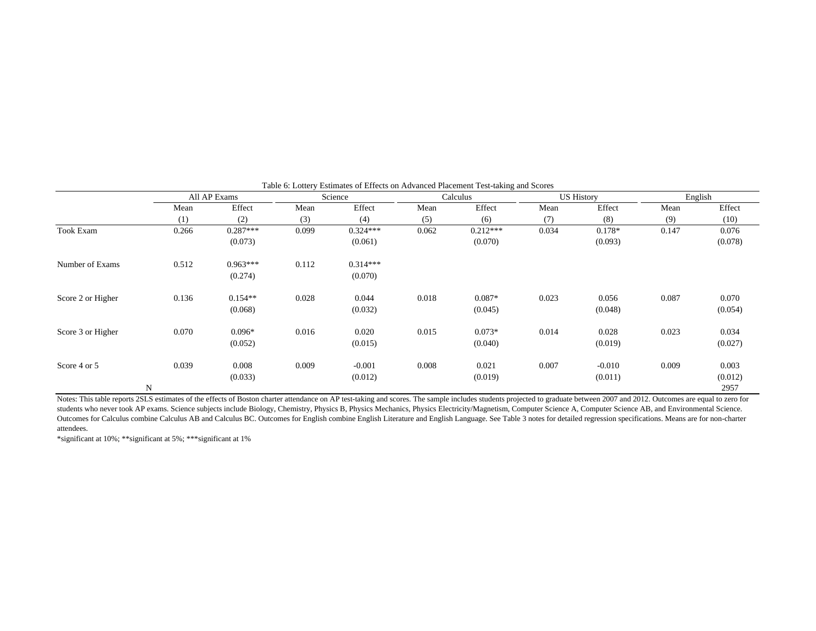|                   |       | All AP Exams          |       | Science               | Calculus |            |       | <b>US History</b> | English |         |
|-------------------|-------|-----------------------|-------|-----------------------|----------|------------|-------|-------------------|---------|---------|
|                   | Mean  | Effect                | Mean  | Effect                | Mean     | Effect     | Mean  | Effect            | Mean    | Effect  |
|                   | (1)   | (2)                   | (3)   | (4)                   | (5)      | (6)        | (7)   | (8)               | (9)     | (10)    |
| <b>Took Exam</b>  | 0.266 | $0.287***$            | 0.099 | $0.324***$            | 0.062    | $0.212***$ | 0.034 | $0.178*$          | 0.147   | 0.076   |
|                   |       | (0.073)               |       | (0.061)               |          | (0.070)    |       | (0.093)           |         | (0.078) |
| Number of Exams   | 0.512 | $0.963***$<br>(0.274) | 0.112 | $0.314***$<br>(0.070) |          |            |       |                   |         |         |
|                   |       |                       |       |                       |          |            |       |                   |         |         |
| Score 2 or Higher | 0.136 | $0.154**$             | 0.028 | 0.044                 | 0.018    | $0.087*$   | 0.023 | 0.056             | 0.087   | 0.070   |
|                   |       | (0.068)               |       | (0.032)               |          | (0.045)    |       | (0.048)           |         | (0.054) |
| Score 3 or Higher | 0.070 | $0.096*$              | 0.016 | 0.020                 | 0.015    | $0.073*$   | 0.014 | 0.028             | 0.023   | 0.034   |
|                   |       | (0.052)               |       | (0.015)               |          | (0.040)    |       | (0.019)           |         | (0.027) |
| Score 4 or 5      | 0.039 | 0.008                 | 0.009 | $-0.001$              | 0.008    | 0.021      | 0.007 | $-0.010$          | 0.009   | 0.003   |
|                   |       | (0.033)               |       | (0.012)               |          | (0.019)    |       | (0.011)           |         | (0.012) |
|                   | N     |                       |       |                       |          |            |       |                   |         | 2957    |

Table 6: Lottery Estimates of Effects on Advanced Placement Test-taking and Scores

Notes: This table reports 2SLS estimates of the effects of Boston charter attendance on AP test-taking and scores. The sample includes students projected to graduate between 2007 and 2012. Outcomes are equal to zero for students who never took AP exams. Science subjects include Biology, Chemistry, Physics B, Physics Mechanics, Physics Electricity/Magnetism, Computer Science A, Computer Science AB, and Environmental Science. Outcomes for Calculus combine Calculus AB and Calculus BC. Outcomes for English combine English Literature and English Language. See Table 3 notes for detailed regression specifications. Means are for non-charter attendees.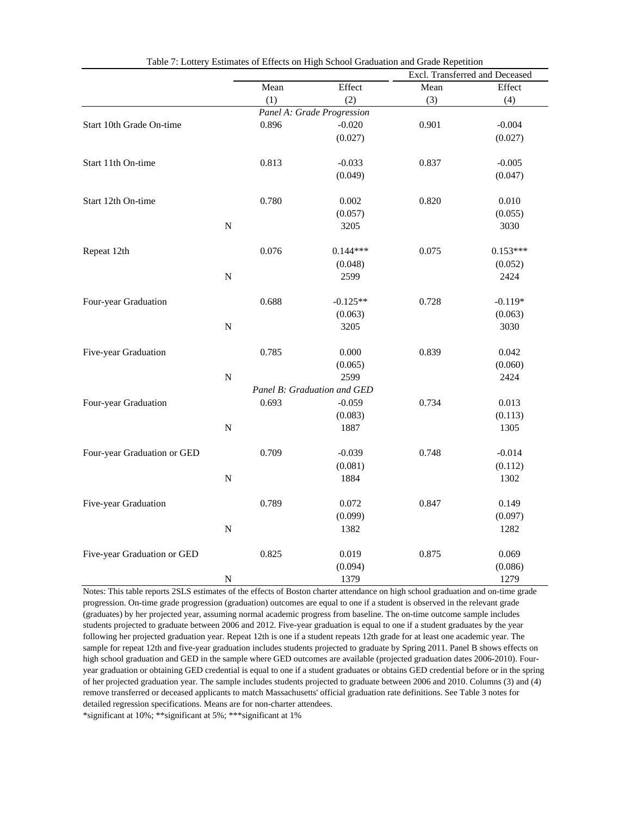|                             |                                                                                                                                               |       |                             |       | Excl. Transferred and Deceased |
|-----------------------------|-----------------------------------------------------------------------------------------------------------------------------------------------|-------|-----------------------------|-------|--------------------------------|
|                             | Mean<br>(1)<br>0.896<br>0.813<br>0.780<br>${\bf N}$<br>0.076<br>$\mathbf N$<br>0.688<br>${\bf N}$<br>0.785<br>${\bf N}$<br>0.693<br>${\bf N}$ |       | Effect                      | Mean  | Effect                         |
|                             |                                                                                                                                               |       | (2)                         | (3)   | (4)                            |
|                             |                                                                                                                                               |       | Panel A: Grade Progression  |       |                                |
| Start 10th Grade On-time    |                                                                                                                                               |       | $-0.020$                    | 0.901 | $-0.004$                       |
|                             |                                                                                                                                               |       | (0.027)                     |       | (0.027)                        |
|                             |                                                                                                                                               |       |                             |       |                                |
| Start 11th On-time          |                                                                                                                                               |       | $-0.033$                    | 0.837 | $-0.005$                       |
|                             |                                                                                                                                               |       | (0.049)                     |       | (0.047)                        |
|                             |                                                                                                                                               |       |                             |       |                                |
| Start 12th On-time          |                                                                                                                                               |       | 0.002                       | 0.820 | 0.010                          |
|                             |                                                                                                                                               |       | (0.057)                     |       | (0.055)                        |
|                             |                                                                                                                                               |       | 3205                        |       | 3030                           |
| Repeat 12th                 |                                                                                                                                               |       | $0.144***$                  | 0.075 | $0.153***$                     |
|                             |                                                                                                                                               |       | (0.048)                     |       | (0.052)                        |
|                             |                                                                                                                                               |       | 2599                        |       | 2424                           |
|                             |                                                                                                                                               |       |                             |       |                                |
| Four-year Graduation        |                                                                                                                                               |       | $-0.125**$                  | 0.728 | $-0.119*$                      |
|                             |                                                                                                                                               |       | (0.063)                     |       | (0.063)                        |
|                             |                                                                                                                                               |       | 3205                        |       | 3030                           |
| Five-year Graduation        |                                                                                                                                               |       | 0.000                       | 0.839 | 0.042                          |
|                             |                                                                                                                                               |       | (0.065)                     |       | (0.060)                        |
|                             |                                                                                                                                               |       | 2599                        |       | 2424                           |
|                             |                                                                                                                                               |       | Panel B: Graduation and GED |       |                                |
| Four-year Graduation        |                                                                                                                                               |       | $-0.059$                    | 0.734 | 0.013                          |
|                             |                                                                                                                                               |       | (0.083)                     |       | (0.113)                        |
|                             |                                                                                                                                               |       | 1887                        |       | 1305                           |
|                             |                                                                                                                                               |       |                             |       |                                |
| Four-year Graduation or GED |                                                                                                                                               | 0.709 | $-0.039$                    | 0.748 | $-0.014$                       |
|                             |                                                                                                                                               |       | (0.081)                     |       | (0.112)                        |
|                             | ${\bf N}$                                                                                                                                     |       | 1884                        |       | 1302                           |
| Five-year Graduation        |                                                                                                                                               | 0.789 | 0.072                       | 0.847 | 0.149                          |
|                             |                                                                                                                                               |       | (0.099)                     |       | (0.097)                        |
|                             | ${\bf N}$                                                                                                                                     |       | 1382                        |       | 1282                           |
|                             |                                                                                                                                               |       |                             |       |                                |
| Five-year Graduation or GED |                                                                                                                                               | 0.825 | 0.019                       | 0.875 | 0.069                          |
|                             |                                                                                                                                               |       | (0.094)                     |       | (0.086)                        |
|                             | N                                                                                                                                             |       | 1379                        |       | 1279                           |

Table 7: Lottery Estimates of Effects on High School Graduation and Grade Repetition

Notes: This table reports 2SLS estimates of the effects of Boston charter attendance on high school graduation and on-time grade progression. On-time grade progression (graduation) outcomes are equal to one if a student is observed in the relevant grade (graduates) by her projected year, assuming normal academic progress from baseline. The on-time outcome sample includes students projected to graduate between 2006 and 2012. Five-year graduation is equal to one if a student graduates by the year following her projected graduation year. Repeat 12th is one if a student repeats 12th grade for at least one academic year. The sample for repeat 12th and five-year graduation includes students projected to graduate by Spring 2011. Panel B shows effects on high school graduation and GED in the sample where GED outcomes are available (projected graduation dates 2006-2010). Fouryear graduation or obtaining GED credential is equal to one if a student graduates or obtains GED credential before or in the spring of her projected graduation year. The sample includes students projected to graduate between 2006 and 2010. Columns (3) and (4) remove transferred or deceased applicants to match Massachusetts' official graduation rate definitions. See Table 3 notes for detailed regression specifications. Means are for non-charter attendees.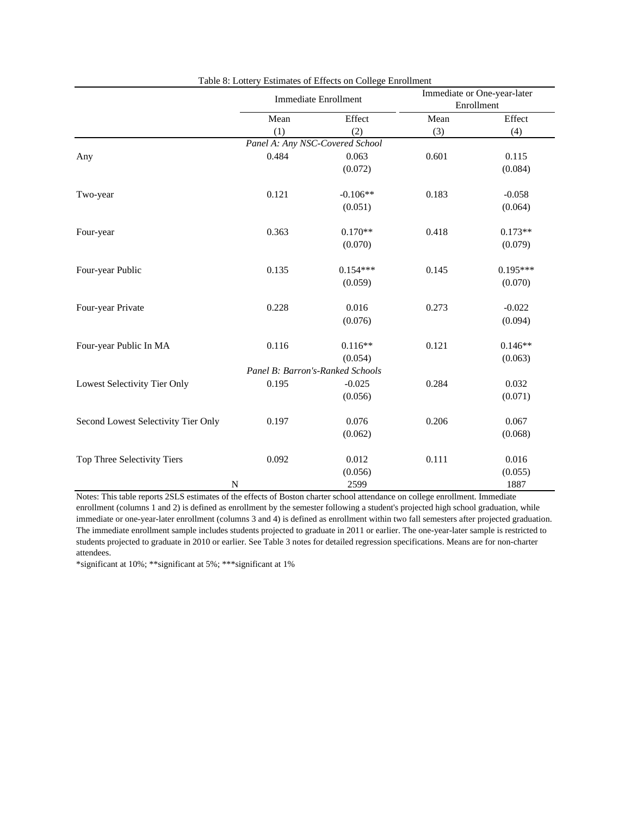|                                     |       | <b>Immediate Enrollment</b>      |       | Immediate or One-year-later<br>Enrollment |
|-------------------------------------|-------|----------------------------------|-------|-------------------------------------------|
|                                     | Mean  | Effect                           | Mean  | Effect                                    |
|                                     | (1)   | (2)                              | (3)   | (4)                                       |
|                                     |       | Panel A: Any NSC-Covered School  |       |                                           |
| Any                                 | 0.484 | 0.063                            | 0.601 | 0.115                                     |
|                                     |       | (0.072)                          |       | (0.084)                                   |
| Two-year                            | 0.121 | $-0.106**$                       | 0.183 | $-0.058$                                  |
|                                     |       | (0.051)                          |       | (0.064)                                   |
| Four-year                           | 0.363 | $0.170**$                        | 0.418 | $0.173**$                                 |
|                                     |       | (0.070)                          |       | (0.079)                                   |
| Four-year Public                    | 0.135 | $0.154***$                       | 0.145 | $0.195***$                                |
|                                     |       | (0.059)                          |       | (0.070)                                   |
| Four-year Private                   | 0.228 | 0.016                            | 0.273 | $-0.022$                                  |
|                                     |       | (0.076)                          |       | (0.094)                                   |
| Four-year Public In MA              | 0.116 | $0.116**$                        | 0.121 | $0.146**$                                 |
|                                     |       | (0.054)                          |       | (0.063)                                   |
|                                     |       | Panel B: Barron's-Ranked Schools |       |                                           |
| Lowest Selectivity Tier Only        | 0.195 | $-0.025$                         | 0.284 | 0.032                                     |
|                                     |       | (0.056)                          |       | (0.071)                                   |
| Second Lowest Selectivity Tier Only | 0.197 | 0.076                            | 0.206 | 0.067                                     |
|                                     |       | (0.062)                          |       | (0.068)                                   |
| Top Three Selectivity Tiers         | 0.092 | 0.012                            | 0.111 | 0.016                                     |
|                                     |       | (0.056)                          |       | (0.055)                                   |
|                                     | N     | 2599                             |       | 1887                                      |

Table 8: Lottery Estimates of Effects on College Enrollment

Notes: This table reports 2SLS estimates of the effects of Boston charter school attendance on college enrollment. Immediate enrollment (columns 1 and 2) is defined as enrollment by the semester following a student's projected high school graduation, while immediate or one-year-later enrollment (columns 3 and 4) is defined as enrollment within two fall semesters after projected graduation. The immediate enrollment sample includes students projected to graduate in 2011 or earlier. The one-year-later sample is restricted to students projected to graduate in 2010 or earlier. See Table 3 notes for detailed regression specifications. Means are for non-charter attendees.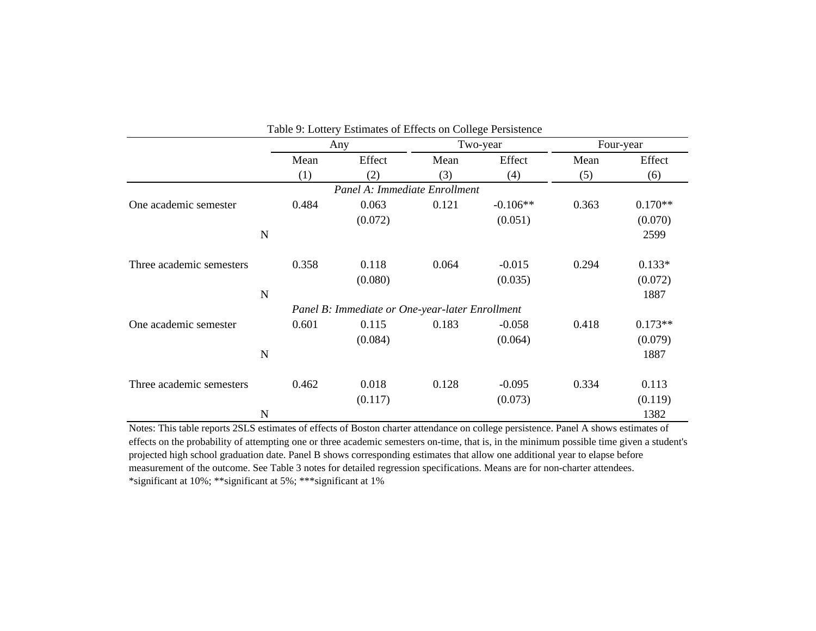|                          |       | Table 9: Lottery Estimates of Effects on College Persistence |       |            |       |           |
|--------------------------|-------|--------------------------------------------------------------|-------|------------|-------|-----------|
|                          |       | Any                                                          |       | Two-year   |       | Four-year |
|                          | Mean  | Effect                                                       | Mean  | Effect     | Mean  | Effect    |
|                          | (1)   | (2)                                                          | (3)   | (4)        | (5)   | (6)       |
|                          |       | Panel A: Immediate Enrollment                                |       |            |       |           |
| One academic semester    | 0.484 | 0.063                                                        | 0.121 | $-0.106**$ | 0.363 | $0.170**$ |
|                          |       | (0.072)                                                      |       | (0.051)    |       | (0.070)   |
| N                        |       |                                                              |       |            |       | 2599      |
|                          |       |                                                              |       |            |       |           |
| Three academic semesters | 0.358 | 0.118                                                        | 0.064 | $-0.015$   | 0.294 | $0.133*$  |
|                          |       | (0.080)                                                      |       | (0.035)    |       | (0.072)   |
| N                        |       |                                                              |       |            |       | 1887      |
|                          |       | Panel B: Immediate or One-year-later Enrollment              |       |            |       |           |
| One academic semester    | 0.601 | 0.115                                                        | 0.183 | $-0.058$   | 0.418 | $0.173**$ |
|                          |       | (0.084)                                                      |       | (0.064)    |       | (0.079)   |
| N                        |       |                                                              |       |            |       | 1887      |
|                          |       |                                                              |       |            |       |           |
| Three academic semesters | 0.462 | 0.018                                                        | 0.128 | $-0.095$   | 0.334 | 0.113     |
|                          |       | (0.117)                                                      |       | (0.073)    |       | (0.119)   |
| N                        |       |                                                              |       |            |       | 1382      |

Notes: This table reports 2SLS estimates of effects of Boston charter attendance on college persistence. Panel A shows estimates of effects on the probability of attempting one or three academic semesters on-time, that is, in the minimum possible time given a student's projected high school graduation date. Panel B shows corresponding estimates that allow one additional year to elapse before measurement of the outcome. See Table 3 notes for detailed regression specifications. Means are for non-charter attendees. \*significant at 10%; \*\*significant at 5%; \*\*\*significant at 1%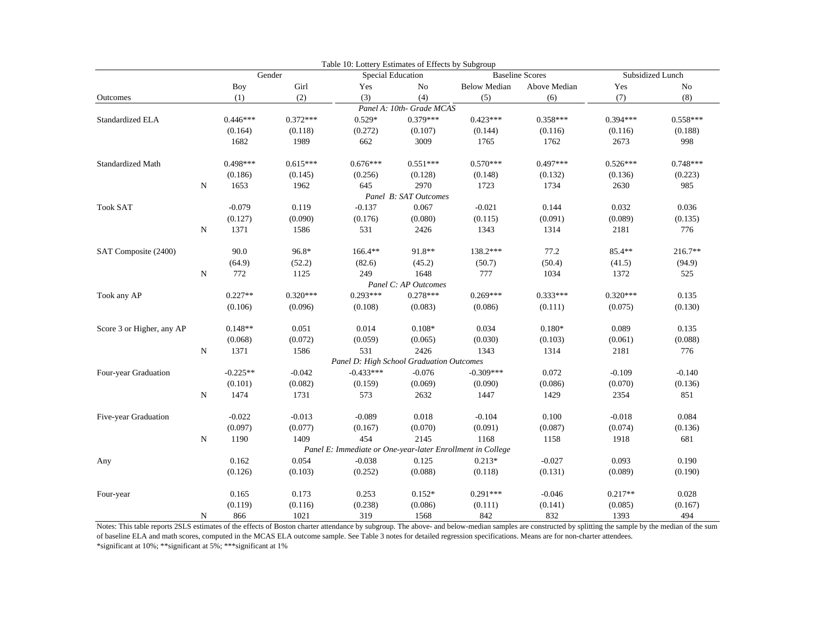|                           |           |            |            | Table 10: Lottery Estimates of Effects by Subgroup |                           |                                                            |                        |                  |            |
|---------------------------|-----------|------------|------------|----------------------------------------------------|---------------------------|------------------------------------------------------------|------------------------|------------------|------------|
|                           |           |            | Gender     | Special Education                                  |                           |                                                            | <b>Baseline Scores</b> | Subsidized Lunch |            |
|                           |           | <b>Boy</b> | Girl       | Yes                                                | No                        | <b>Below Median</b>                                        | Above Median           | Yes              | No         |
| Outcomes                  |           | (1)        | (2)        | (3)                                                | (4)                       | (5)                                                        | (6)                    | (7)              | (8)        |
|                           |           |            |            |                                                    | Panel A: 10th- Grade MCAS |                                                            |                        |                  |            |
| Standardized ELA          |           | $0.446***$ | $0.372***$ | $0.529*$                                           | $0.379***$                | $0.423***$                                                 | $0.358***$             | $0.394***$       | $0.558***$ |
|                           |           | (0.164)    | (0.118)    | (0.272)                                            | (0.107)                   | (0.144)                                                    | (0.116)                | (0.116)          | (0.188)    |
|                           |           | 1682       | 1989       | 662                                                | 3009                      | 1765                                                       | 1762                   | 2673             | 998        |
| <b>Standardized Math</b>  |           | $0.498***$ | $0.615***$ | $0.676***$                                         | $0.551***$                | $0.570***$                                                 | $0.497***$             | $0.526***$       | $0.748***$ |
|                           |           | (0.186)    | (0.145)    | (0.256)                                            | (0.128)                   | (0.148)                                                    | (0.132)                | (0.136)          | (0.223)    |
|                           | ${\bf N}$ | 1653       | 1962       | 645                                                | 2970                      | 1723                                                       | 1734                   | 2630             | 985        |
|                           |           |            |            |                                                    | Panel B: SAT Outcomes     |                                                            |                        |                  |            |
| <b>Took SAT</b>           |           | $-0.079$   | 0.119      | $-0.137$                                           | 0.067                     | $-0.021$                                                   | 0.144                  | 0.032            | 0.036      |
|                           |           | (0.127)    | (0.090)    | (0.176)                                            | (0.080)                   | (0.115)                                                    | (0.091)                | (0.089)          | (0.135)    |
|                           | ${\bf N}$ | 1371       | 1586       | 531                                                | 2426                      | 1343                                                       | 1314                   | 2181             | 776        |
| SAT Composite (2400)      |           | 90.0       | 96.8*      | $166.4**$                                          | 91.8**                    | 138.2***                                                   | 77.2                   | 85.4**           | $216.7**$  |
|                           |           | (64.9)     | (52.2)     | (82.6)                                             | (45.2)                    | (50.7)                                                     | (50.4)                 | (41.5)           | (94.9)     |
|                           | ${\bf N}$ | 772        | 1125       | 249                                                | 1648                      | 777                                                        | 1034                   | 1372             | 525        |
|                           |           |            |            |                                                    | Panel C: AP Outcomes      |                                                            |                        |                  |            |
| Took any AP               |           | $0.227**$  | $0.320***$ | $0.293***$                                         | $0.278***$                | $0.269***$                                                 | $0.333***$             | $0.320***$       | 0.135      |
|                           |           | (0.106)    | (0.096)    | (0.108)                                            | (0.083)                   | (0.086)                                                    | (0.111)                | (0.075)          | (0.130)    |
| Score 3 or Higher, any AP |           | $0.148**$  | 0.051      | 0.014                                              | $0.108*$                  | 0.034                                                      | $0.180*$               | 0.089            | 0.135      |
|                           |           | (0.068)    | (0.072)    | (0.059)                                            | (0.065)                   | (0.030)                                                    | (0.103)                | (0.061)          | (0.088)    |
|                           | N         | 1371       | 1586       | 531                                                | 2426                      | 1343                                                       | 1314                   | 2181             | 776        |
|                           |           |            |            | Panel D: High School Graduation Outcomes           |                           |                                                            |                        |                  |            |
| Four-year Graduation      |           | $-0.225**$ | $-0.042$   | $-0.433***$                                        | $-0.076$                  | $-0.309***$                                                | 0.072                  | $-0.109$         | $-0.140$   |
|                           |           | (0.101)    | (0.082)    | (0.159)                                            | (0.069)                   | (0.090)                                                    | (0.086)                | (0.070)          | (0.136)    |
|                           | ${\bf N}$ | 1474       | 1731       | 573                                                | 2632                      | 1447                                                       | 1429                   | 2354             | 851        |
| Five-year Graduation      |           | $-0.022$   | $-0.013$   | $-0.089$                                           | 0.018                     | $-0.104$                                                   | 0.100                  | $-0.018$         | 0.084      |
|                           |           | (0.097)    | (0.077)    | (0.167)                                            | (0.070)                   | (0.091)                                                    | (0.087)                | (0.074)          | (0.136)    |
|                           | N         | 1190       | 1409       | 454                                                | 2145                      | 1168                                                       | 1158                   | 1918             | 681        |
|                           |           |            |            |                                                    |                           | Panel E: Immediate or One-year-later Enrollment in College |                        |                  |            |
| Any                       |           | 0.162      | 0.054      | $-0.038$                                           | 0.125                     | $0.213*$                                                   | $-0.027$               | 0.093            | 0.190      |
|                           |           | (0.126)    | (0.103)    | (0.252)                                            | (0.088)                   | (0.118)                                                    | (0.131)                | (0.089)          | (0.190)    |
| Four-year                 |           | 0.165      | 0.173      | 0.253                                              | $0.152*$                  | $0.291***$                                                 | $-0.046$               | $0.217**$        | 0.028      |
|                           |           | (0.119)    | (0.116)    | (0.238)                                            | (0.086)                   | (0.111)                                                    | (0.141)                | (0.085)          | (0.167)    |
|                           | N         | 866        | 1021       | 319                                                | 1568                      | 842                                                        | 832                    | 1393             | 494        |

Notes: This table reports 2SLS estimates of the effects of Boston charter attendance by subgroup. The above- and below-median samples are constructed by splitting the sample by the median of the sum of baseline ELA and math scores, computed in the MCAS ELA outcome sample. See Table 3 notes for detailed regression specifications. Means are for non-charter attendees.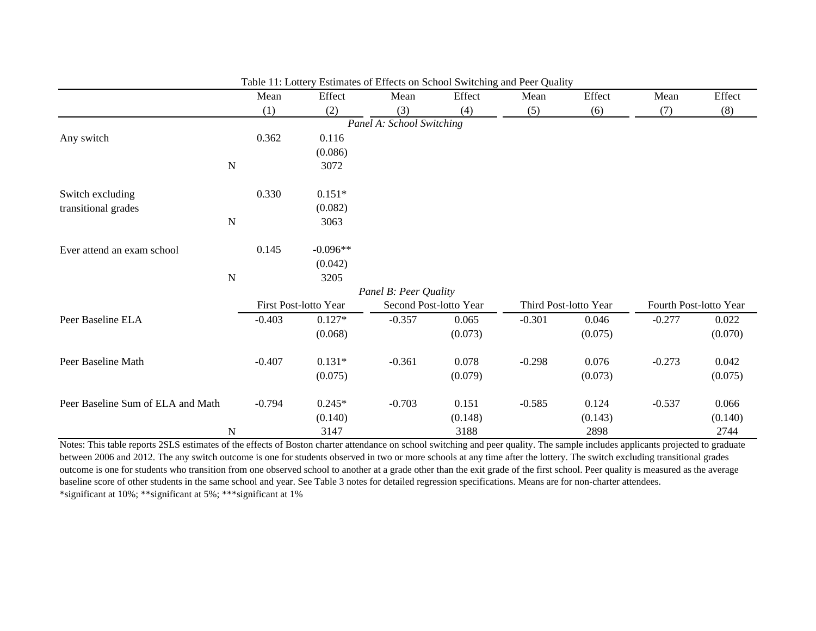|                                   |             | Mean     | Effect                | Mean                      | Effect                 | Mean     | Effect                | Mean     | Effect                 |  |
|-----------------------------------|-------------|----------|-----------------------|---------------------------|------------------------|----------|-----------------------|----------|------------------------|--|
|                                   |             | (1)      | (2)                   | (3)                       | (4)                    | (5)      | (6)                   | (7)      | (8)                    |  |
|                                   |             |          |                       | Panel A: School Switching |                        |          |                       |          |                        |  |
| Any switch                        |             | 0.362    | 0.116                 |                           |                        |          |                       |          |                        |  |
|                                   |             |          | (0.086)               |                           |                        |          |                       |          |                        |  |
|                                   | $\mathbf N$ |          | 3072                  |                           |                        |          |                       |          |                        |  |
| Switch excluding                  |             | 0.330    | $0.151*$              |                           |                        |          |                       |          |                        |  |
| transitional grades               |             |          | (0.082)               |                           |                        |          |                       |          |                        |  |
|                                   | $\mathbf N$ |          | 3063                  |                           |                        |          |                       |          |                        |  |
| Ever attend an exam school        |             | 0.145    | $-0.096**$            |                           |                        |          |                       |          |                        |  |
|                                   |             |          | (0.042)               |                           |                        |          |                       |          |                        |  |
|                                   | $\mathbf N$ |          | 3205                  |                           |                        |          |                       |          |                        |  |
|                                   |             |          | Panel B: Peer Quality |                           |                        |          |                       |          |                        |  |
|                                   |             |          | First Post-lotto Year |                           | Second Post-lotto Year |          | Third Post-lotto Year |          | Fourth Post-lotto Year |  |
| Peer Baseline ELA                 |             | $-0.403$ | $0.127*$              | $-0.357$                  | 0.065                  | $-0.301$ | 0.046                 | $-0.277$ | 0.022                  |  |
|                                   |             |          | (0.068)               |                           | (0.073)                |          | (0.075)               |          | (0.070)                |  |
| Peer Baseline Math                |             | $-0.407$ | $0.131*$              | $-0.361$                  | 0.078                  | $-0.298$ | 0.076                 | $-0.273$ | 0.042                  |  |
|                                   |             |          | (0.075)               |                           | (0.079)                |          | (0.073)               |          | (0.075)                |  |
| Peer Baseline Sum of ELA and Math |             | $-0.794$ | $0.245*$              | $-0.703$                  | 0.151                  | $-0.585$ | 0.124                 | $-0.537$ | 0.066                  |  |
|                                   |             |          | (0.140)               |                           | (0.148)                |          | (0.143)               |          | (0.140)                |  |
|                                   | N           |          | 3147                  |                           | 3188                   |          | 2898                  |          | 2744                   |  |

Table 11: Lottery Estimates of Effects on School Switching and Peer Quality

Notes: This table reports 2SLS estimates of the effects of Boston charter attendance on school switching and peer quality. The sample includes applicants projected to graduate between 2006 and 2012. The any switch outcome is one for students observed in two or more schools at any time after the lottery. The switch excluding transitional grades outcome is one for students who transition from one observed school to another at a grade other than the exit grade of the first school. Peer quality is measured as the average baseline score of other students in the same school and year. See Table 3 notes for detailed regression specifications. Means are for non-charter attendees. \*significant at 10%; \*\*significant at 5%; \*\*\*significant at 1%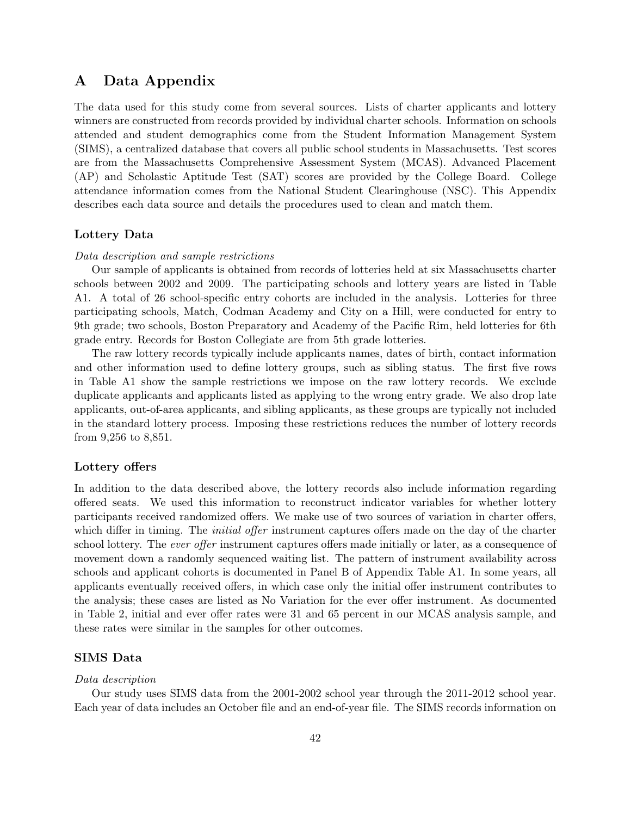# A Data Appendix

The data used for this study come from several sources. Lists of charter applicants and lottery winners are constructed from records provided by individual charter schools. Information on schools attended and student demographics come from the Student Information Management System (SIMS), a centralized database that covers all public school students in Massachusetts. Test scores are from the Massachusetts Comprehensive Assessment System (MCAS). Advanced Placement (AP) and Scholastic Aptitude Test (SAT) scores are provided by the College Board. College attendance information comes from the National Student Clearinghouse (NSC). This Appendix describes each data source and details the procedures used to clean and match them.

### Lottery Data

#### Data description and sample restrictions

Our sample of applicants is obtained from records of lotteries held at six Massachusetts charter schools between 2002 and 2009. The participating schools and lottery years are listed in Table A1. A total of 26 school-specific entry cohorts are included in the analysis. Lotteries for three participating schools, Match, Codman Academy and City on a Hill, were conducted for entry to 9th grade; two schools, Boston Preparatory and Academy of the Pacific Rim, held lotteries for 6th grade entry. Records for Boston Collegiate are from 5th grade lotteries.

The raw lottery records typically include applicants names, dates of birth, contact information and other information used to define lottery groups, such as sibling status. The first five rows in Table A1 show the sample restrictions we impose on the raw lottery records. We exclude duplicate applicants and applicants listed as applying to the wrong entry grade. We also drop late applicants, out-of-area applicants, and sibling applicants, as these groups are typically not included in the standard lottery process. Imposing these restrictions reduces the number of lottery records from 9,256 to 8,851.

#### Lottery offers

In addition to the data described above, the lottery records also include information regarding offered seats. We used this information to reconstruct indicator variables for whether lottery participants received randomized offers. We make use of two sources of variation in charter offers, which differ in timing. The *initial offer* instrument captures offers made on the day of the charter school lottery. The *ever offer* instrument captures offers made initially or later, as a consequence of movement down a randomly sequenced waiting list. The pattern of instrument availability across schools and applicant cohorts is documented in Panel B of Appendix Table A1. In some years, all applicants eventually received offers, in which case only the initial offer instrument contributes to the analysis; these cases are listed as No Variation for the ever offer instrument. As documented in Table 2, initial and ever offer rates were 31 and 65 percent in our MCAS analysis sample, and these rates were similar in the samples for other outcomes.

### SIMS Data

#### Data description

Our study uses SIMS data from the 2001-2002 school year through the 2011-2012 school year. Each year of data includes an October file and an end-of-year file. The SIMS records information on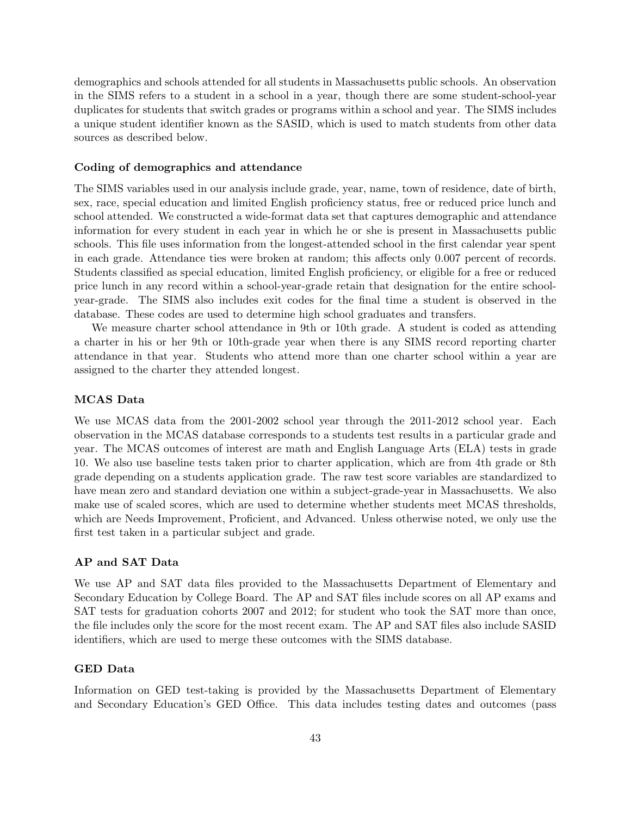demographics and schools attended for all students in Massachusetts public schools. An observation in the SIMS refers to a student in a school in a year, though there are some student-school-year duplicates for students that switch grades or programs within a school and year. The SIMS includes a unique student identifier known as the SASID, which is used to match students from other data sources as described below.

#### Coding of demographics and attendance

The SIMS variables used in our analysis include grade, year, name, town of residence, date of birth, sex, race, special education and limited English proficiency status, free or reduced price lunch and school attended. We constructed a wide-format data set that captures demographic and attendance information for every student in each year in which he or she is present in Massachusetts public schools. This file uses information from the longest-attended school in the first calendar year spent in each grade. Attendance ties were broken at random; this affects only 0.007 percent of records. Students classified as special education, limited English proficiency, or eligible for a free or reduced price lunch in any record within a school-year-grade retain that designation for the entire schoolyear-grade. The SIMS also includes exit codes for the final time a student is observed in the database. These codes are used to determine high school graduates and transfers.

We measure charter school attendance in 9th or 10th grade. A student is coded as attending a charter in his or her 9th or 10th-grade year when there is any SIMS record reporting charter attendance in that year. Students who attend more than one charter school within a year are assigned to the charter they attended longest.

#### MCAS Data

We use MCAS data from the 2001-2002 school year through the 2011-2012 school year. Each observation in the MCAS database corresponds to a students test results in a particular grade and year. The MCAS outcomes of interest are math and English Language Arts (ELA) tests in grade 10. We also use baseline tests taken prior to charter application, which are from 4th grade or 8th grade depending on a students application grade. The raw test score variables are standardized to have mean zero and standard deviation one within a subject-grade-year in Massachusetts. We also make use of scaled scores, which are used to determine whether students meet MCAS thresholds, which are Needs Improvement, Proficient, and Advanced. Unless otherwise noted, we only use the first test taken in a particular subject and grade.

#### AP and SAT Data

We use AP and SAT data files provided to the Massachusetts Department of Elementary and Secondary Education by College Board. The AP and SAT files include scores on all AP exams and SAT tests for graduation cohorts 2007 and 2012; for student who took the SAT more than once, the file includes only the score for the most recent exam. The AP and SAT files also include SASID identifiers, which are used to merge these outcomes with the SIMS database.

### GED Data

Information on GED test-taking is provided by the Massachusetts Department of Elementary and Secondary Education's GED Office. This data includes testing dates and outcomes (pass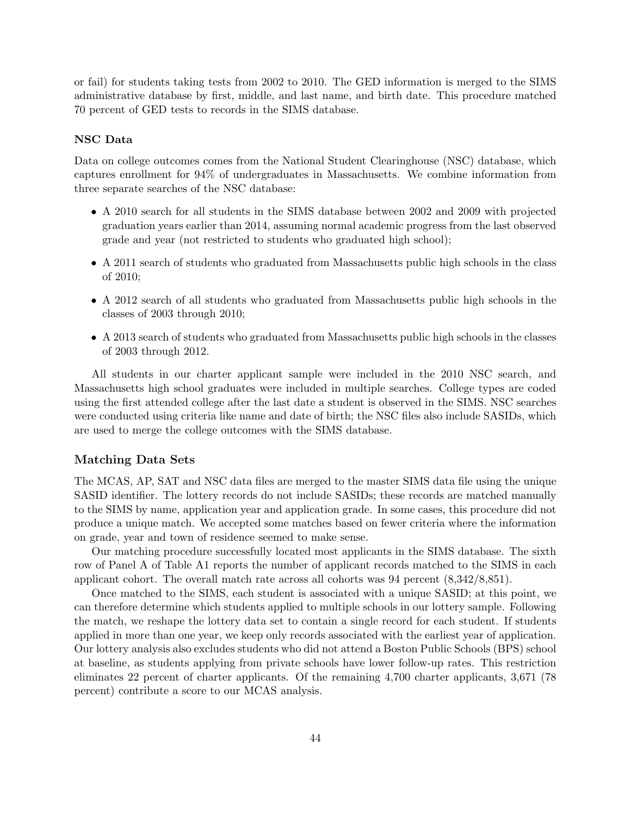or fail) for students taking tests from 2002 to 2010. The GED information is merged to the SIMS administrative database by first, middle, and last name, and birth date. This procedure matched 70 percent of GED tests to records in the SIMS database.

#### NSC Data

Data on college outcomes comes from the National Student Clearinghouse (NSC) database, which captures enrollment for 94% of undergraduates in Massachusetts. We combine information from three separate searches of the NSC database:

- A 2010 search for all students in the SIMS database between 2002 and 2009 with projected graduation years earlier than 2014, assuming normal academic progress from the last observed grade and year (not restricted to students who graduated high school);
- A 2011 search of students who graduated from Massachusetts public high schools in the class of 2010;
- A 2012 search of all students who graduated from Massachusetts public high schools in the classes of 2003 through 2010;
- A 2013 search of students who graduated from Massachusetts public high schools in the classes of 2003 through 2012.

All students in our charter applicant sample were included in the 2010 NSC search, and Massachusetts high school graduates were included in multiple searches. College types are coded using the first attended college after the last date a student is observed in the SIMS. NSC searches were conducted using criteria like name and date of birth; the NSC files also include SASIDs, which are used to merge the college outcomes with the SIMS database.

#### Matching Data Sets

The MCAS, AP, SAT and NSC data files are merged to the master SIMS data file using the unique SASID identifier. The lottery records do not include SASIDs; these records are matched manually to the SIMS by name, application year and application grade. In some cases, this procedure did not produce a unique match. We accepted some matches based on fewer criteria where the information on grade, year and town of residence seemed to make sense.

Our matching procedure successfully located most applicants in the SIMS database. The sixth row of Panel A of Table A1 reports the number of applicant records matched to the SIMS in each applicant cohort. The overall match rate across all cohorts was 94 percent (8,342/8,851).

Once matched to the SIMS, each student is associated with a unique SASID; at this point, we can therefore determine which students applied to multiple schools in our lottery sample. Following the match, we reshape the lottery data set to contain a single record for each student. If students applied in more than one year, we keep only records associated with the earliest year of application. Our lottery analysis also excludes students who did not attend a Boston Public Schools (BPS) school at baseline, as students applying from private schools have lower follow-up rates. This restriction eliminates 22 percent of charter applicants. Of the remaining 4,700 charter applicants, 3,671 (78 percent) contribute a score to our MCAS analysis.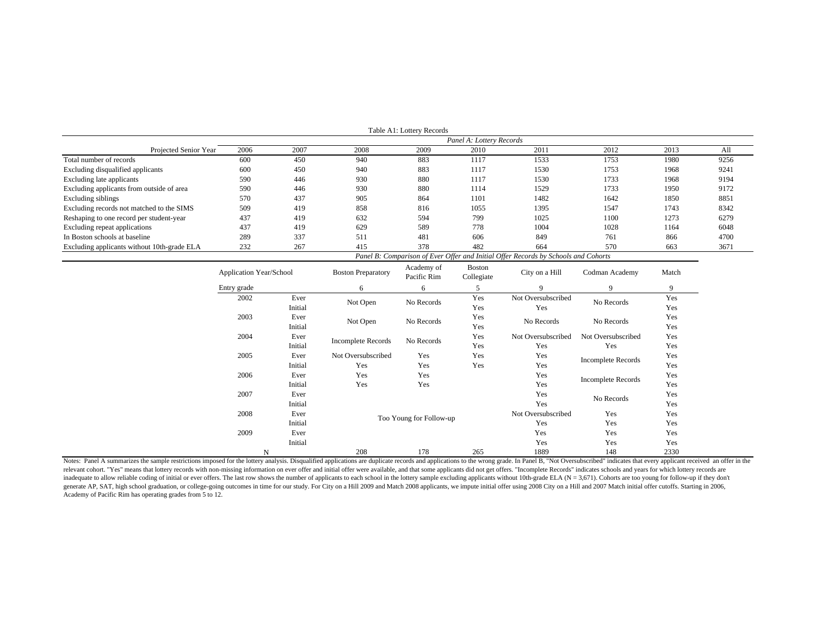|                                             |      |      |      | Table A1: Lottery Records |                          |                                                                                    |      |      |      |
|---------------------------------------------|------|------|------|---------------------------|--------------------------|------------------------------------------------------------------------------------|------|------|------|
|                                             |      |      |      |                           | Panel A: Lottery Records |                                                                                    |      |      |      |
| Projected Senior Year                       | 2006 | 2007 | 2008 | 2009                      | 2010                     | 2011                                                                               | 2012 | 2013 | All  |
| Total number of records                     | 600  | 450  | 940  | 883                       | 1117                     | 1533                                                                               | 1753 | 1980 | 9256 |
| Excluding disqualified applicants           | 600  | 450  | 940  | 883                       | 1117                     | 1530                                                                               | 1753 | 1968 | 9241 |
| Excluding late applicants                   | 590  | 446  | 930  | 880                       | 1117                     | 1530                                                                               | 1733 | 1968 | 9194 |
| Excluding applicants from outside of area   | 590  | 446  | 930  | 880                       | 1114                     | 1529                                                                               | 1733 | 1950 | 9172 |
| Excluding siblings                          | 570  | 437  | 905  | 864                       | 1101                     | 1482                                                                               | 1642 | 1850 | 8851 |
| Excluding records not matched to the SIMS   | 509  | 419  | 858  | 816                       | 1055                     | 1395                                                                               | 1547 | 1743 | 8342 |
| Reshaping to one record per student-year    | 437  | 419  | 632  | 594                       | 799                      | 1025                                                                               | 1100 | 1273 | 6279 |
| Excluding repeat applications               | 437  | 419  | 629  | 589                       | 778                      | 1004                                                                               | 1028 | 1164 | 6048 |
| In Boston schools at baseline               | 289  | 337  | 511  | 481                       | 606                      | 849                                                                                | 761  | 866  | 4700 |
| Excluding applicants without 10th-grade ELA | 232  | 267  | 415  | 378                       | 482                      | 664                                                                                | 570  | 663  | 3671 |
|                                             |      |      |      |                           |                          | Panel B: Comparison of Ever Offer and Initial Offer Records by Schools and Cohorts |      |      |      |

| Application Year/School<br>Entry grade |         | <b>Boston Preparatory</b> | Academy of<br>Pacific Rim                     | Boston<br>Collegiate | City on a Hill     | Codman Academy            | Match<br>9 |
|----------------------------------------|---------|---------------------------|-----------------------------------------------|----------------------|--------------------|---------------------------|------------|
|                                        |         | 6                         | 6                                             | 5                    | 9                  | 9                         |            |
| 2002                                   | Ever    | Not Open                  | No Records                                    | Yes                  | Not Oversubscribed | No Records                | Yes        |
|                                        | Initial |                           |                                               | Yes                  | Yes                |                           | Yes        |
| 2003                                   | Ever    | Not Open                  | No Records                                    | Yes                  | No Records         | No Records                | Yes        |
|                                        | Initial |                           |                                               | Yes                  |                    |                           | Yes        |
| 2004                                   | Ever    | <b>Incomplete Records</b> | No Records                                    | Yes                  | Not Oversubscribed | Not Oversubscribed        | Yes        |
|                                        | Initial |                           |                                               | Yes                  | Yes                | Yes                       | Yes        |
| 2005                                   | Ever    | Not Oversubscribed        | Yes                                           | Yes                  | Yes                | <b>Incomplete Records</b> | Yes        |
|                                        | Initial | Yes                       | Yes                                           | Yes                  | Yes                |                           | Yes        |
| 2006                                   | Ever    | Yes                       | Yes                                           |                      | Yes                | <b>Incomplete Records</b> | Yes        |
|                                        | Initial | Yes                       | Yes                                           |                      | Yes                |                           | Yes        |
| 2007                                   | Ever    |                           |                                               |                      | Yes                | No Records                | Yes        |
|                                        | Initial | Yes                       |                                               |                      |                    |                           | Yes        |
| 2008                                   | Ever    |                           | Not Oversubscribed<br>Too Young for Follow-up |                      |                    | Yes                       | Yes        |
|                                        | Initial |                           |                                               |                      |                    | Yes                       | Yes        |
| 2009                                   | Ever    |                           |                                               |                      | Yes                | Yes                       | Yes        |
| Initial                                |         |                           |                                               |                      | Yes                | Yes                       | Yes        |
| N                                      |         | 208                       | 178                                           | 265                  | 1889               | 148                       | 2330       |

Notes: Panel A summarizes the sample restrictions imposed for the lottery analysis. Disqualified applications are duplicate records and applications to the wrong grade. In Panel B, "Not Oversubscribed" indicates that every relevant cohort. "Yes" means that lottery records with non-missing information on ever offer and initial offer were available, and that some applicants did not get offers. "Incomplete Records" indicates schools and years f inadequate to allow reliable coding of initial or ever offers. The last row shows the number of applicants to each school in the lottery sample excluding applicants without 10th-grade ELA (N = 3,671). Cohorts are too young generate AP, SAT, high school graduation, or college-going outcomes in time for our study. For City on a Hill 2009 and Match 2008 applicants, we impute initial offer using 2008 City on a Hill and 2007 Match initial offer c Academy of Pacific Rim has operating grades from 5 to 12.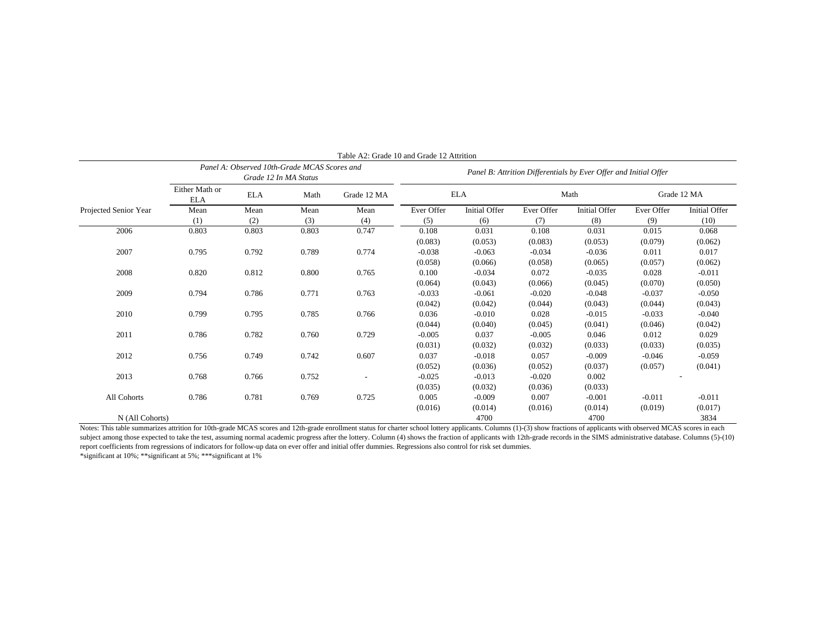|                       | Panel A: Observed 10th-Grade MCAS Scores and<br>Grade 12 In MA Status |            |       |             | Table Az: Grade To and Grade 12 Augustion<br>Panel B: Attrition Differentials by Ever Offer and Initial Offer |               |            |               |             |               |
|-----------------------|-----------------------------------------------------------------------|------------|-------|-------------|---------------------------------------------------------------------------------------------------------------|---------------|------------|---------------|-------------|---------------|
|                       | Either Math or<br><b>ELA</b>                                          | <b>ELA</b> | Math  | Grade 12 MA | <b>ELA</b>                                                                                                    |               | Math       |               | Grade 12 MA |               |
| Projected Senior Year | Mean                                                                  | Mean       | Mean  | Mean        | Ever Offer                                                                                                    | Initial Offer | Ever Offer | Initial Offer | Ever Offer  | Initial Offer |
|                       | (1)                                                                   | (2)        | (3)   | (4)         | (5)                                                                                                           | (6)           | (7)        | (8)           | (9)         | (10)          |
| 2006                  | 0.803                                                                 | 0.803      | 0.803 | 0.747       | 0.108                                                                                                         | 0.031         | 0.108      | 0.031         | 0.015       | 0.068         |
|                       |                                                                       |            |       |             | (0.083)                                                                                                       | (0.053)       | (0.083)    | (0.053)       | (0.079)     | (0.062)       |
| 2007                  | 0.795                                                                 | 0.792      | 0.789 | 0.774       | $-0.038$                                                                                                      | $-0.063$      | $-0.034$   | $-0.036$      | 0.011       | 0.017         |
|                       |                                                                       |            |       |             | (0.058)                                                                                                       | (0.066)       | (0.058)    | (0.065)       | (0.057)     | (0.062)       |
| 2008                  | 0.820                                                                 | 0.812      | 0.800 | 0.765       | 0.100                                                                                                         | $-0.034$      | 0.072      | $-0.035$      | 0.028       | $-0.011$      |
|                       |                                                                       |            |       |             | (0.064)                                                                                                       | (0.043)       | (0.066)    | (0.045)       | (0.070)     | (0.050)       |
| 2009                  | 0.794                                                                 | 0.786      | 0.771 | 0.763       | $-0.033$                                                                                                      | $-0.061$      | $-0.020$   | $-0.048$      | $-0.037$    | $-0.050$      |
|                       |                                                                       |            |       |             | (0.042)                                                                                                       | (0.042)       | (0.044)    | (0.043)       | (0.044)     | (0.043)       |
| 2010                  | 0.799                                                                 | 0.795      | 0.785 | 0.766       | 0.036                                                                                                         | $-0.010$      | 0.028      | $-0.015$      | $-0.033$    | $-0.040$      |
|                       |                                                                       |            |       |             | (0.044)                                                                                                       | (0.040)       | (0.045)    | (0.041)       | (0.046)     | (0.042)       |
| 2011                  | 0.786                                                                 | 0.782      | 0.760 | 0.729       | $-0.005$                                                                                                      | 0.037         | $-0.005$   | 0.046         | 0.012       | 0.029         |
|                       |                                                                       |            |       |             | (0.031)                                                                                                       | (0.032)       | (0.032)    | (0.033)       | (0.033)     | (0.035)       |
| 2012                  | 0.756                                                                 | 0.749      | 0.742 | 0.607       | 0.037                                                                                                         | $-0.018$      | 0.057      | $-0.009$      | $-0.046$    | $-0.059$      |
|                       |                                                                       |            |       |             | (0.052)                                                                                                       | (0.036)       | (0.052)    | (0.037)       | (0.057)     | (0.041)       |
| 2013                  | 0.768                                                                 | 0.766      | 0.752 |             | $-0.025$                                                                                                      | $-0.013$      | $-0.020$   | 0.002         |             |               |
|                       |                                                                       |            |       |             | (0.035)                                                                                                       | (0.032)       | (0.036)    | (0.033)       |             |               |
| All Cohorts           | 0.786                                                                 | 0.781      | 0.769 | 0.725       | 0.005                                                                                                         | $-0.009$      | 0.007      | $-0.001$      | $-0.011$    | $-0.011$      |
|                       |                                                                       |            |       |             | (0.016)                                                                                                       | (0.014)       | (0.016)    | (0.014)       | (0.019)     | (0.017)       |
| N (All Cohorts)       |                                                                       |            |       |             |                                                                                                               | 4700          |            | 4700          |             | 3834          |

 $Table A2: Grade 10 and Grade 12 Atritic$ 

Notes: This table summarizes attrition for 10th-grade MCAS scores and 12th-grade enrollment status for charter school lottery applicants. Columns (1)-(3) show fractions of applicants with observed MCAS scores in each subject among those expected to take the test, assuming normal academic progress after the lottery. Column (4) shows the fraction of applicants with 12th-grade records in the SIMS administrative database. Columns (5)-(10) report coefficients from regressions of indicators for follow-up data on ever offer and initial offer dummies. Regressions also control for risk set dummies.